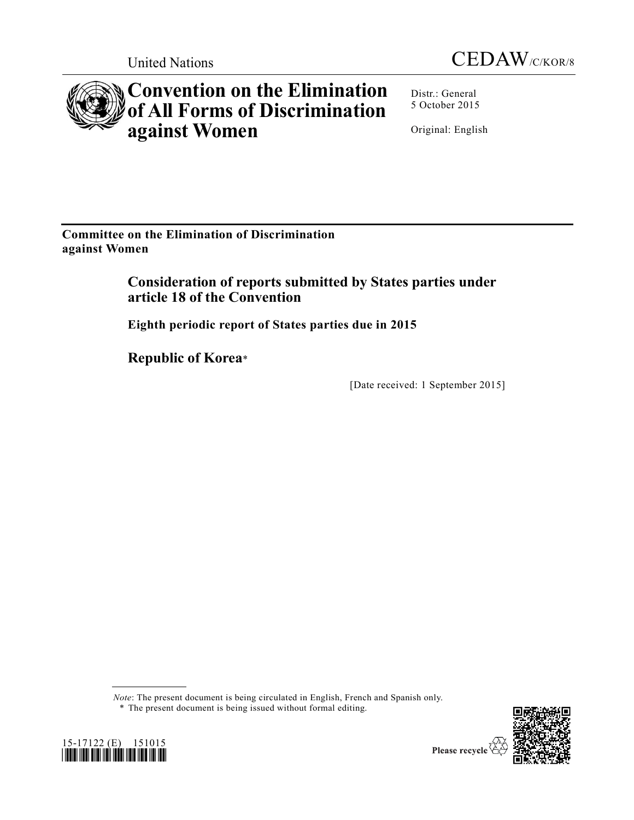



# **Convention on the Elimination of All Forms of Discrimination against Women**

Distr.: General 5 October 2015

Original: English

**Committee on the Elimination of Discrimination against Women**

> **Consideration of reports submitted by States parties under article 18 of the Convention**

**Eighth periodic report of States parties due in 2015**

**Republic of Korea**\*

[Date received: 1 September 2015]

*Note*: The present document is being circulated in English, French and Spanish only.





<sup>\*</sup> The present document is being issued without formal editing.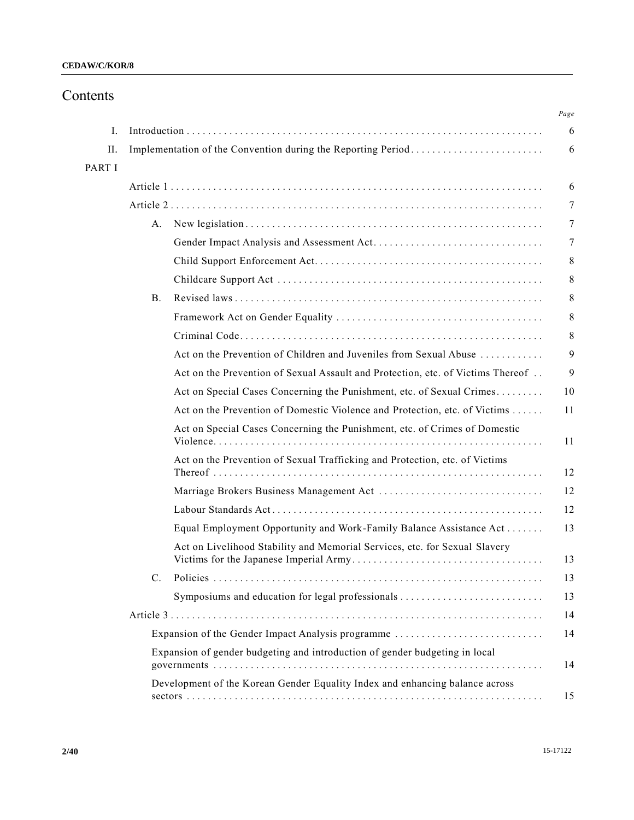## Contents

|        |           |                                                                                 | Page<br>6      |
|--------|-----------|---------------------------------------------------------------------------------|----------------|
| L.     |           |                                                                                 |                |
| П.     |           | Implementation of the Convention during the Reporting Period                    | 6              |
| PART I |           |                                                                                 |                |
|        |           |                                                                                 | 6              |
|        |           |                                                                                 | 7              |
|        | А.        |                                                                                 | 7              |
|        |           |                                                                                 | $\overline{7}$ |
|        |           |                                                                                 | 8              |
|        |           |                                                                                 | 8              |
|        | <b>B.</b> |                                                                                 | 8              |
|        |           |                                                                                 | 8              |
|        |           |                                                                                 | 8              |
|        |           | Act on the Prevention of Children and Juveniles from Sexual Abuse               | 9              |
|        |           | Act on the Prevention of Sexual Assault and Protection, etc. of Victims Thereof | 9              |
|        |           | Act on Special Cases Concerning the Punishment, etc. of Sexual Crimes           | 10             |
|        |           | Act on the Prevention of Domestic Violence and Protection, etc. of Victims      | 11             |
|        |           | Act on Special Cases Concerning the Punishment, etc. of Crimes of Domestic      | 11             |
|        |           | Act on the Prevention of Sexual Trafficking and Protection, etc. of Victims     | 12             |
|        |           |                                                                                 | 12             |
|        |           |                                                                                 | 12             |
|        |           | Equal Employment Opportunity and Work-Family Balance Assistance Act             | 13             |
|        |           | Act on Livelihood Stability and Memorial Services, etc. for Sexual Slavery      | 13             |
|        | C.        |                                                                                 | 13             |
|        |           | Symposiums and education for legal professionals                                | 13             |
|        |           |                                                                                 | 14             |
|        |           | Expansion of the Gender Impact Analysis programme                               | 14             |
|        |           | Expansion of gender budgeting and introduction of gender budgeting in local     | 14             |
|        |           | Development of the Korean Gender Equality Index and enhancing balance across    | 15             |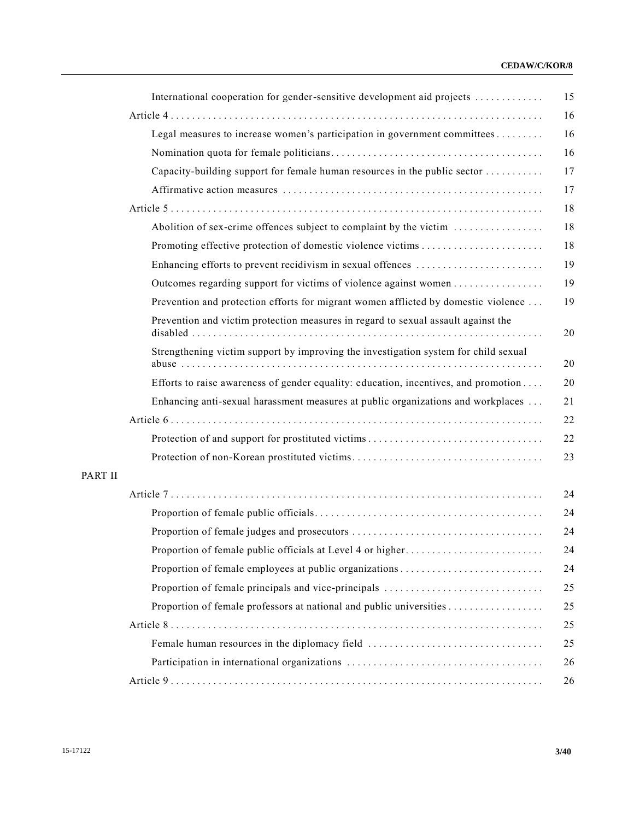## **CEDAW/C/KOR/8**

| International cooperation for gender-sensitive development aid projects             |
|-------------------------------------------------------------------------------------|
|                                                                                     |
| Legal measures to increase women's participation in government committees           |
|                                                                                     |
| Capacity-building support for female human resources in the public sector           |
|                                                                                     |
|                                                                                     |
| Abolition of sex-crime offences subject to complaint by the victim                  |
|                                                                                     |
| Enhancing efforts to prevent recidivism in sexual offences                          |
| Outcomes regarding support for victims of violence against women                    |
| Prevention and protection efforts for migrant women afflicted by domestic violence  |
| Prevention and victim protection measures in regard to sexual assault against the   |
| Strengthening victim support by improving the investigation system for child sexual |
| Efforts to raise awareness of gender equality: education, incentives, and promotion |
| Enhancing anti-sexual harassment measures at public organizations and workplaces    |
|                                                                                     |
|                                                                                     |
|                                                                                     |
|                                                                                     |
|                                                                                     |
|                                                                                     |
|                                                                                     |
|                                                                                     |
|                                                                                     |
|                                                                                     |
|                                                                                     |
|                                                                                     |
| Female human resources in the diplomacy field                                       |
|                                                                                     |
|                                                                                     |

PART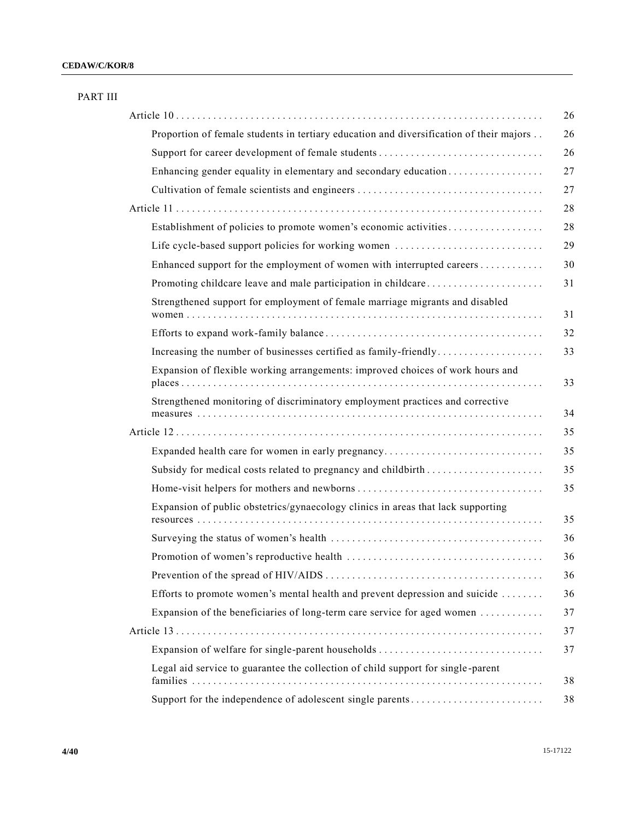| PART III |                                                                                         |
|----------|-----------------------------------------------------------------------------------------|
|          |                                                                                         |
|          | Proportion of female students in tertiary education and diversification of their majors |
|          |                                                                                         |
|          | Enhancing gender equality in elementary and secondary education                         |
|          | Cultivation of female scientists and engineers                                          |
|          |                                                                                         |
|          | Establishment of policies to promote women's economic activities                        |
|          | Life cycle-based support policies for working women                                     |
|          | Enhanced support for the employment of women with interrupted careers                   |
|          | Promoting childcare leave and male participation in childcare                           |
|          | Strengthened support for employment of female marriage migrants and disabled            |
|          |                                                                                         |
|          | Increasing the number of businesses certified as family-friendly                        |
|          | Expansion of flexible working arrangements: improved choices of work hours and          |
|          | Strengthened monitoring of discriminatory employment practices and corrective           |
|          |                                                                                         |
|          | Expanded health care for women in early pregnancy                                       |
|          | Subsidy for medical costs related to pregnancy and childbirth                           |
|          |                                                                                         |
|          | Expansion of public obstetrics/gynaecology clinics in areas that lack supporting        |
|          |                                                                                         |
|          |                                                                                         |
|          |                                                                                         |
|          | Efforts to promote women's mental health and prevent depression and suicide             |
|          | Expansion of the beneficiaries of long-term care service for aged women                 |
|          |                                                                                         |
|          |                                                                                         |
|          | Legal aid service to guarantee the collection of child support for single-parent        |
|          | Support for the independence of adolescent single parents                               |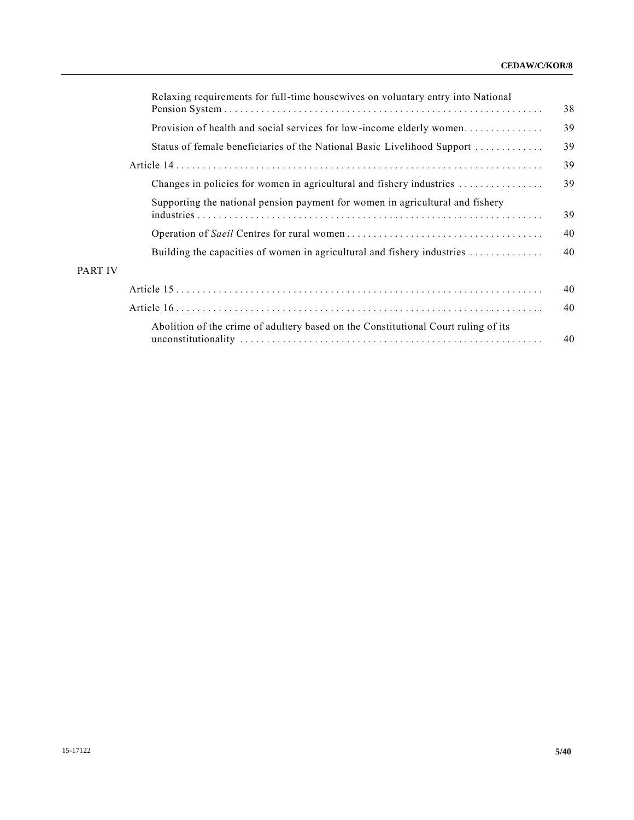|                | Relaxing requirements for full-time housewives on voluntary entry into National    | 38 |
|----------------|------------------------------------------------------------------------------------|----|
|                | Provision of health and social services for low-income elderly women               | 39 |
|                | Status of female beneficiaries of the National Basic Livelihood Support            | 39 |
|                |                                                                                    | 39 |
|                | Changes in policies for women in agricultural and fishery industries               | 39 |
|                | Supporting the national pension payment for women in agricultural and fishery      | 39 |
|                |                                                                                    | 40 |
|                | Building the capacities of women in agricultural and fishery industries            | 40 |
| <b>PART IV</b> |                                                                                    |    |
|                |                                                                                    | 40 |
|                |                                                                                    | 40 |
|                | Abolition of the crime of adultery based on the Constitutional Court ruling of its | 40 |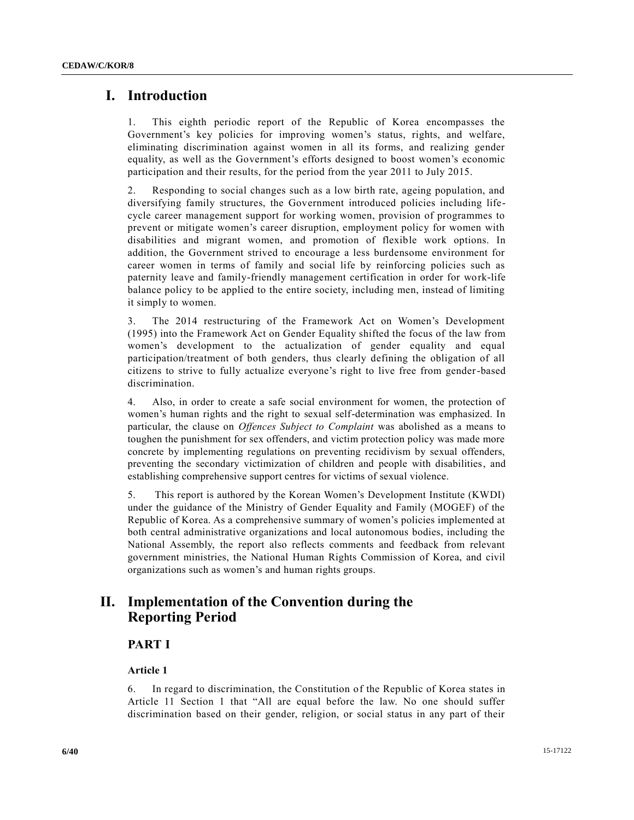## **I. Introduction**

1. This eighth periodic report of the Republic of Korea encompasses the Government's key policies for improving women's status, rights, and welfare, eliminating discrimination against women in all its forms, and realizing gender equality, as well as the Government's efforts designed to boost women's economic participation and their results, for the period from the year 2011 to July 2015.

2. Responding to social changes such as a low birth rate, ageing population, and diversifying family structures, the Government introduced policies including lifecycle career management support for working women, provision of programmes to prevent or mitigate women's career disruption, employment policy for women with disabilities and migrant women, and promotion of flexible work options. In addition, the Government strived to encourage a less burdensome environment for career women in terms of family and social life by reinforcing policies such as paternity leave and family-friendly management certification in order for work-life balance policy to be applied to the entire society, including men, instead of limiting it simply to women.

3. The 2014 restructuring of the Framework Act on Women's Development (1995) into the Framework Act on Gender Equality shifted the focus of the law from women's development to the actualization of gender equality and equal participation/treatment of both genders, thus clearly defining the obligation of all citizens to strive to fully actualize everyone's right to live free from gender-based discrimination.

4. Also, in order to create a safe social environment for women, the protection of women's human rights and the right to sexual self-determination was emphasized. In particular, the clause on *Offences Subject to Complaint* was abolished as a means to toughen the punishment for sex offenders, and victim protection policy was made more concrete by implementing regulations on preventing recidivism by sexual offenders, preventing the secondary victimization of children and people with disabilities, and establishing comprehensive support centres for victims of sexual violence.

5. This report is authored by the Korean Women's Development Institute (KWDI) under the guidance of the Ministry of Gender Equality and Family (MOGEF) of the Republic of Korea. As a comprehensive summary of women's policies implemented at both central administrative organizations and local autonomous bodies, including the National Assembly, the report also reflects comments and feedback from relevant government ministries, the National Human Rights Commission of Korea, and civil organizations such as women's and human rights groups.

## **II. Implementation of the Convention during the Reporting Period**

## **PART I**

## **Article 1**

6. In regard to discrimination, the Constitution of the Republic of Korea states in Article 11 Section 1 that "All are equal before the law. No one should suffer discrimination based on their gender, religion, or social status in any part of their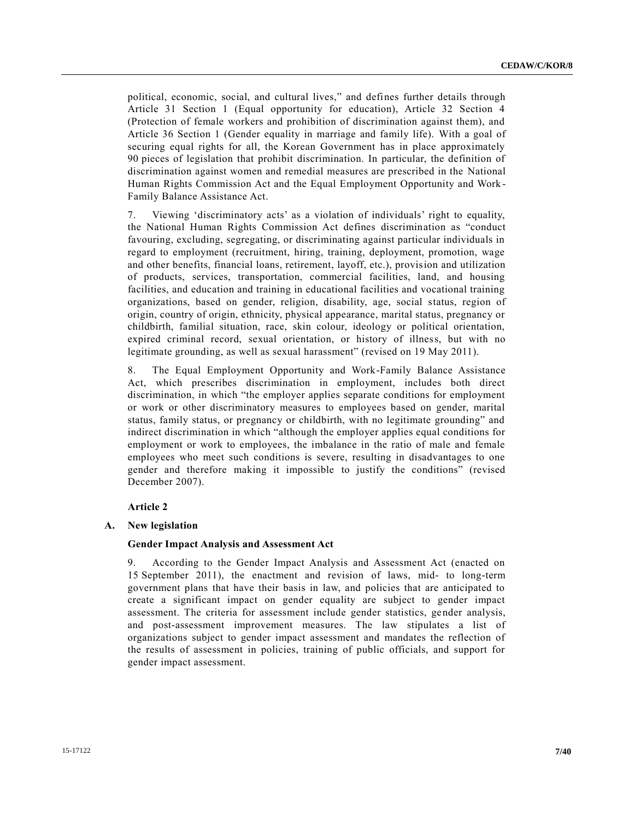political, economic, social, and cultural lives," and defines further details through Article 31 Section 1 (Equal opportunity for education), Article 32 Section 4 (Protection of female workers and prohibition of discrimination against them), and Article 36 Section 1 (Gender equality in marriage and family life). With a goal of securing equal rights for all, the Korean Government has in place approximately 90 pieces of legislation that prohibit discrimination. In particular, the definition of discrimination against women and remedial measures are prescribed in the National Human Rights Commission Act and the Equal Employment Opportunity and Work - Family Balance Assistance Act.

7. Viewing 'discriminatory acts' as a violation of individuals' right to equality, the National Human Rights Commission Act defines discrimination as "conduct favouring, excluding, segregating, or discriminating against particular individuals in regard to employment (recruitment, hiring, training, deployment, promotion, wage and other benefits, financial loans, retirement, layoff, etc.), provision and utilization of products, services, transportation, commercial facilities, land, and housing facilities, and education and training in educational facilities and vocational training organizations, based on gender, religion, disability, age, social status, region of origin, country of origin, ethnicity, physical appearance, marital status, pregnancy or childbirth, familial situation, race, skin colour, ideology or political orientation, expired criminal record, sexual orientation, or history of illness, but with no legitimate grounding, as well as sexual harassment" (revised on 19 May 2011).

8. The Equal Employment Opportunity and Work-Family Balance Assistance Act, which prescribes discrimination in employment, includes both direct discrimination, in which "the employer applies separate conditions for employment or work or other discriminatory measures to employees based on gender, marital status, family status, or pregnancy or childbirth, with no legitimate grounding" and indirect discrimination in which "although the employer applies equal conditions for employment or work to employees, the imbalance in the ratio of male and female employees who meet such conditions is severe, resulting in disadvantages to one gender and therefore making it impossible to justify the conditions" (revised December 2007).

## **Article 2**

#### **A. New legislation**

#### **Gender Impact Analysis and Assessment Act**

9. According to the Gender Impact Analysis and Assessment Act (enacted on 15 September 2011), the enactment and revision of laws, mid- to long-term government plans that have their basis in law, and policies that are anticipated to create a significant impact on gender equality are subject to gender impact assessment. The criteria for assessment include gender statistics, gender analysis, and post-assessment improvement measures. The law stipulates a list of organizations subject to gender impact assessment and mandates the reflection of the results of assessment in policies, training of public officials, and support for gender impact assessment.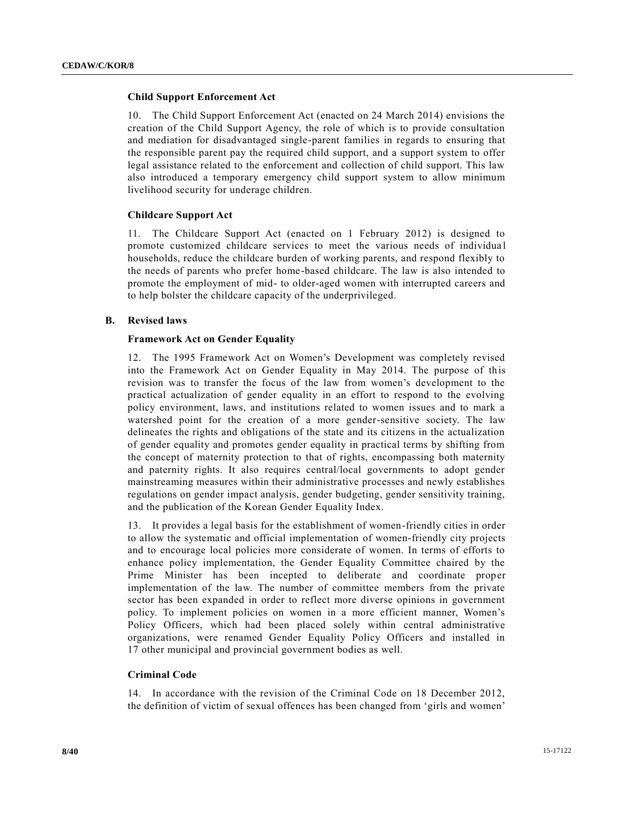## **Child Support Enforcement Act**

10. The Child Support Enforcement Act (enacted on 24 March 2014) envisions the creation of the Child Support Agency, the role of which is to provide consultation and mediation for disadvantaged single-parent families in regards to ensuring that the responsible parent pay the required child support, and a support system to offer legal assistance related to the enforcement and collection of child support. This law also introduced a temporary emergency child support system to allow minimum livelihood security for underage children.

## **Childcare Support Act**

11. The Childcare Support Act (enacted on 1 February 2012) is designed to promote customized childcare services to meet the various needs of individua l households, reduce the childcare burden of working parents, and respond flexibly to the needs of parents who prefer home-based childcare. The law is also intended to promote the employment of mid- to older-aged women with interrupted careers and to help bolster the childcare capacity of the underprivileged.

## **B. Revised laws**

## **Framework Act on Gender Equality**

12. The 1995 Framework Act on Women's Development was completely revised into the Framework Act on Gender Equality in May 2014. The purpose of this revision was to transfer the focus of the law from women's development to the practical actualization of gender equality in an effort to respond to the evolving policy environment, laws, and institutions related to women issues and to mark a watershed point for the creation of a more gender-sensitive society. The law delineates the rights and obligations of the state and its citizens in the actualization of gender equality and promotes gender equality in practical terms by shifting from the concept of maternity protection to that of rights, encompassing both maternity and paternity rights. It also requires central/local governments to adopt gender mainstreaming measures within their administrative processes and newly establishes regulations on gender impact analysis, gender budgeting, gender sensitivity training, and the publication of the Korean Gender Equality Index.

13. It provides a legal basis for the establishment of women-friendly cities in order to allow the systematic and official implementation of women-friendly city projects and to encourage local policies more considerate of women. In terms of efforts to enhance policy implementation, the Gender Equality Committee chaired by the Prime Minister has been incepted to deliberate and coordinate proper implementation of the law. The number of committee members from the private sector has been expanded in order to reflect more diverse opinions in government policy. To implement policies on women in a more efficient manner, Women's Policy Officers, which had been placed solely within central administrative organizations, were renamed Gender Equality Policy Officers and installed in 17 other municipal and provincial government bodies as well.

## **Criminal Code**

14. In accordance with the revision of the Criminal Code on 18 December 2012, the definition of victim of sexual offences has been changed from 'girls and women'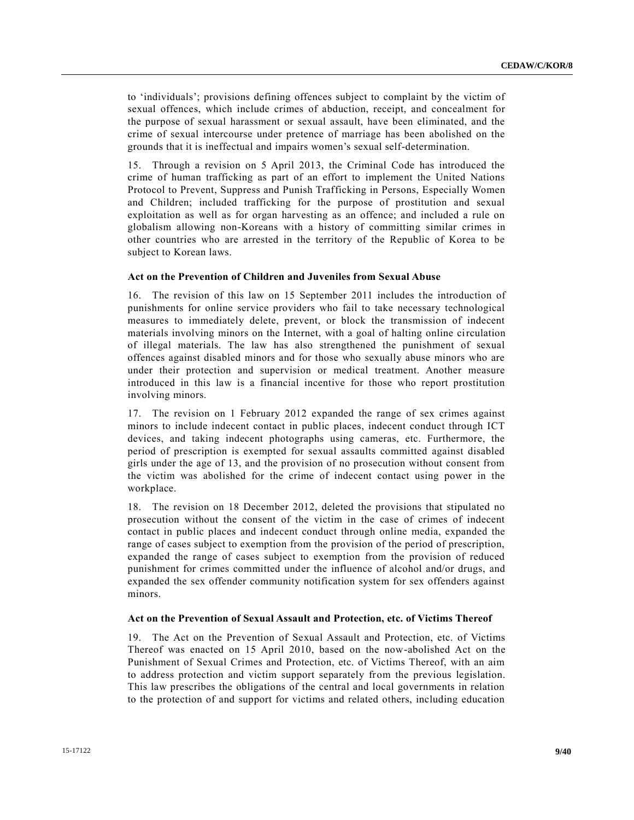to 'individuals'; provisions defining offences subject to complaint by the victim of sexual offences, which include crimes of abduction, receipt, and concealment for the purpose of sexual harassment or sexual assault, have been eliminated, and the crime of sexual intercourse under pretence of marriage has been abolished on the grounds that it is ineffectual and impairs women's sexual self-determination.

15. Through a revision on 5 April 2013, the Criminal Code has introduced the crime of human trafficking as part of an effort to implement the United Nations Protocol to Prevent, Suppress and Punish Trafficking in Persons, Especially Women and Children; included trafficking for the purpose of prostitution and sexual exploitation as well as for organ harvesting as an offence; and included a rule on globalism allowing non-Koreans with a history of committing similar crimes in other countries who are arrested in the territory of the Republic of Korea to be subject to Korean laws.

## **Act on the Prevention of Children and Juveniles from Sexual Abuse**

16. The revision of this law on 15 September 2011 includes the introduction of punishments for online service providers who fail to take necessary technological measures to immediately delete, prevent, or block the transmission of indecent materials involving minors on the Internet, with a goal of halting online circulation of illegal materials. The law has also strengthened the punishment of sexual offences against disabled minors and for those who sexually abuse minors who are under their protection and supervision or medical treatment. Another measure introduced in this law is a financial incentive for those who report prostitution involving minors.

17. The revision on 1 February 2012 expanded the range of sex crimes against minors to include indecent contact in public places, indecent conduct through ICT devices, and taking indecent photographs using cameras, etc. Furthermore, the period of prescription is exempted for sexual assaults committed against disabled girls under the age of 13, and the provision of no prosecution without consent from the victim was abolished for the crime of indecent contact using power in the workplace.

18. The revision on 18 December 2012, deleted the provisions that stipulated no prosecution without the consent of the victim in the case of crimes of indecent contact in public places and indecent conduct through online media, expanded the range of cases subject to exemption from the provision of the period of prescription, expanded the range of cases subject to exemption from the provision of reduced punishment for crimes committed under the influence of alcohol and/or drugs, and expanded the sex offender community notification system for sex offenders against minors.

#### **Act on the Prevention of Sexual Assault and Protection, etc. of Victims Thereof**

19. The Act on the Prevention of Sexual Assault and Protection, etc. of Victims Thereof was enacted on 15 April 2010, based on the now-abolished Act on the Punishment of Sexual Crimes and Protection, etc. of Victims Thereof, with an aim to address protection and victim support separately from the previous legislation. This law prescribes the obligations of the central and local governments in relation to the protection of and support for victims and related others, including education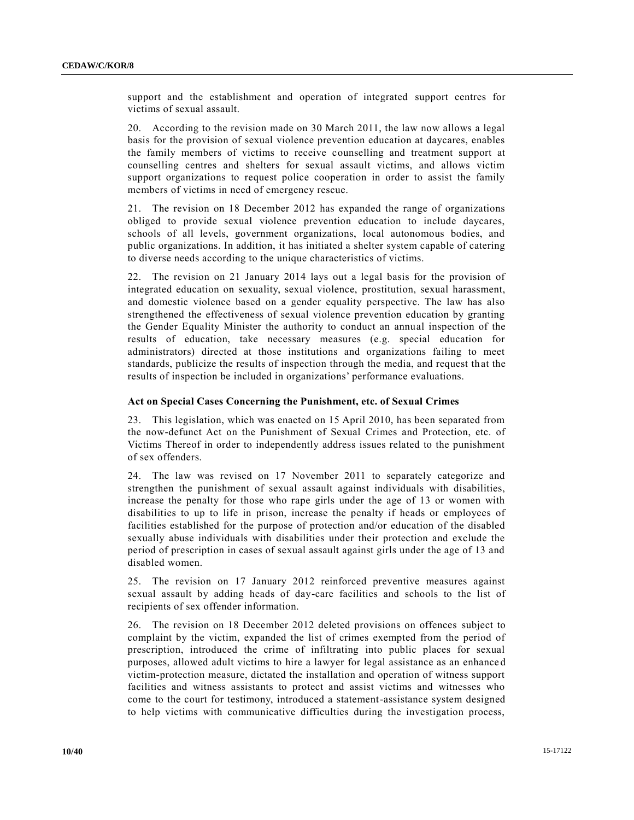support and the establishment and operation of integrated support centres for victims of sexual assault.

20. According to the revision made on 30 March 2011, the law now allows a legal basis for the provision of sexual violence prevention education at daycares, enables the family members of victims to receive counselling and treatment support at counselling centres and shelters for sexual assault victims, and allows victim support organizations to request police cooperation in order to assist the family members of victims in need of emergency rescue.

21. The revision on 18 December 2012 has expanded the range of organizations obliged to provide sexual violence prevention education to include daycares, schools of all levels, government organizations, local autonomous bodies, and public organizations. In addition, it has initiated a shelter system capable of catering to diverse needs according to the unique characteristics of victims.

22. The revision on 21 January 2014 lays out a legal basis for the provision of integrated education on sexuality, sexual violence, prostitution, sexual harassment, and domestic violence based on a gender equality perspective. The law has also strengthened the effectiveness of sexual violence prevention education by granting the Gender Equality Minister the authority to conduct an annual inspection of the results of education, take necessary measures (e.g. special education for administrators) directed at those institutions and organizations failing to meet standards, publicize the results of inspection through the media, and request th at the results of inspection be included in organizations' performance evaluations.

## **Act on Special Cases Concerning the Punishment, etc. of Sexual Crimes**

23. This legislation, which was enacted on 15 April 2010, has been separated from the now-defunct Act on the Punishment of Sexual Crimes and Protection, etc. of Victims Thereof in order to independently address issues related to the punishment of sex offenders.

24. The law was revised on 17 November 2011 to separately categorize and strengthen the punishment of sexual assault against individuals with disabilities, increase the penalty for those who rape girls under the age of 13 or women with disabilities to up to life in prison, increase the penalty if heads or employees of facilities established for the purpose of protection and/or education of the disabled sexually abuse individuals with disabilities under their protection and exclude the period of prescription in cases of sexual assault against girls under the age of 13 and disabled women.

25. The revision on 17 January 2012 reinforced preventive measures against sexual assault by adding heads of day-care facilities and schools to the list of recipients of sex offender information.

26. The revision on 18 December 2012 deleted provisions on offences subject to complaint by the victim, expanded the list of crimes exempted from the period of prescription, introduced the crime of infiltrating into public places for sexual purposes, allowed adult victims to hire a lawyer for legal assistance as an enhance d victim-protection measure, dictated the installation and operation of witness support facilities and witness assistants to protect and assist victims and witnesses who come to the court for testimony, introduced a statement-assistance system designed to help victims with communicative difficulties during the investigation process,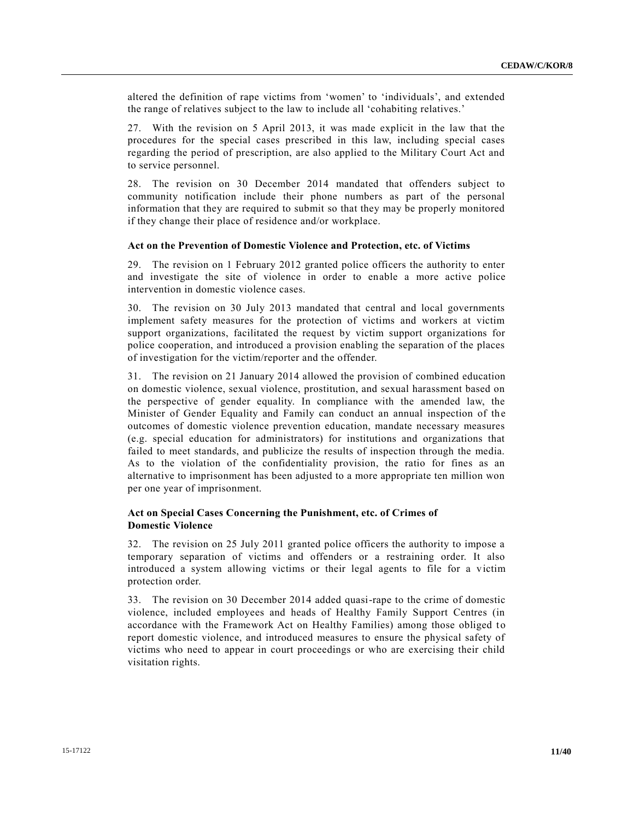altered the definition of rape victims from 'women' to 'individuals', and extended the range of relatives subject to the law to include all 'cohabiting relatives.'

27. With the revision on 5 April 2013, it was made explicit in the law that the procedures for the special cases prescribed in this law, including special cases regarding the period of prescription, are also applied to the Military Court Act and to service personnel.

28. The revision on 30 December 2014 mandated that offenders subject to community notification include their phone numbers as part of the personal information that they are required to submit so that they may be properly monitored if they change their place of residence and/or workplace.

#### **Act on the Prevention of Domestic Violence and Protection, etc. of Victims**

29. The revision on 1 February 2012 granted police officers the authority to enter and investigate the site of violence in order to enable a more active police intervention in domestic violence cases.

30. The revision on 30 July 2013 mandated that central and local governments implement safety measures for the protection of victims and workers at victim support organizations, facilitated the request by victim support organizations for police cooperation, and introduced a provision enabling the separation of the places of investigation for the victim/reporter and the offender.

31. The revision on 21 January 2014 allowed the provision of combined education on domestic violence, sexual violence, prostitution, and sexual harassment based on the perspective of gender equality. In compliance with the amended law, the Minister of Gender Equality and Family can conduct an annual inspection of the outcomes of domestic violence prevention education, mandate necessary measures (e.g. special education for administrators) for institutions and organizations that failed to meet standards, and publicize the results of inspection through the media. As to the violation of the confidentiality provision, the ratio for fines as an alternative to imprisonment has been adjusted to a more appropriate ten million won per one year of imprisonment.

## **Act on Special Cases Concerning the Punishment, etc. of Crimes of Domestic Violence**

32. The revision on 25 July 2011 granted police officers the authority to impose a temporary separation of victims and offenders or a restraining order. It also introduced a system allowing victims or their legal agents to file for a victim protection order.

33. The revision on 30 December 2014 added quasi-rape to the crime of domestic violence, included employees and heads of Healthy Family Support Centres (in accordance with the Framework Act on Healthy Families) among those obliged to report domestic violence, and introduced measures to ensure the physical safety of victims who need to appear in court proceedings or who are exercising their child visitation rights.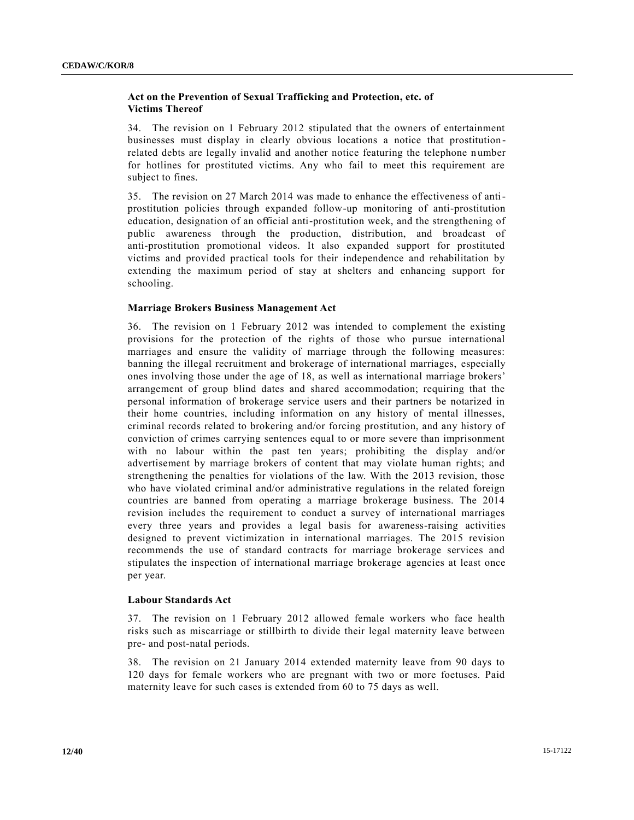## **Act on the Prevention of Sexual Trafficking and Protection, etc. of Victims Thereof**

34. The revision on 1 February 2012 stipulated that the owners of entertainment businesses must display in clearly obvious locations a notice that prostitution related debts are legally invalid and another notice featuring the telephone n umber for hotlines for prostituted victims. Any who fail to meet this requirement are subject to fines.

35. The revision on 27 March 2014 was made to enhance the effectiveness of antiprostitution policies through expanded follow-up monitoring of anti-prostitution education, designation of an official anti-prostitution week, and the strengthening of public awareness through the production, distribution, and broadcast of anti-prostitution promotional videos. It also expanded support for prostituted victims and provided practical tools for their independence and rehabilitation by extending the maximum period of stay at shelters and enhancing support for schooling.

## **Marriage Brokers Business Management Act**

36. The revision on 1 February 2012 was intended to complement the existing provisions for the protection of the rights of those who pursue international marriages and ensure the validity of marriage through the following measures: banning the illegal recruitment and brokerage of international marriages, especially ones involving those under the age of 18, as well as international marriage brokers' arrangement of group blind dates and shared accommodation; requiring that the personal information of brokerage service users and their partners be notarized in their home countries, including information on any history of mental illnesses, criminal records related to brokering and/or forcing prostitution, and any history of conviction of crimes carrying sentences equal to or more severe than imprisonment with no labour within the past ten years; prohibiting the display and/or advertisement by marriage brokers of content that may violate human rights; and strengthening the penalties for violations of the law. With the 2013 revision, those who have violated criminal and/or administrative regulations in the related foreign countries are banned from operating a marriage brokerage business. The 2014 revision includes the requirement to conduct a survey of international marriages every three years and provides a legal basis for awareness-raising activities designed to prevent victimization in international marriages. The 2015 revision recommends the use of standard contracts for marriage brokerage services and stipulates the inspection of international marriage brokerage agencies at least once per year.

## **Labour Standards Act**

37. The revision on 1 February 2012 allowed female workers who face health risks such as miscarriage or stillbirth to divide their legal maternity leave between pre- and post-natal periods.

38. The revision on 21 January 2014 extended maternity leave from 90 days to 120 days for female workers who are pregnant with two or more foetuses. Paid maternity leave for such cases is extended from 60 to 75 days as well.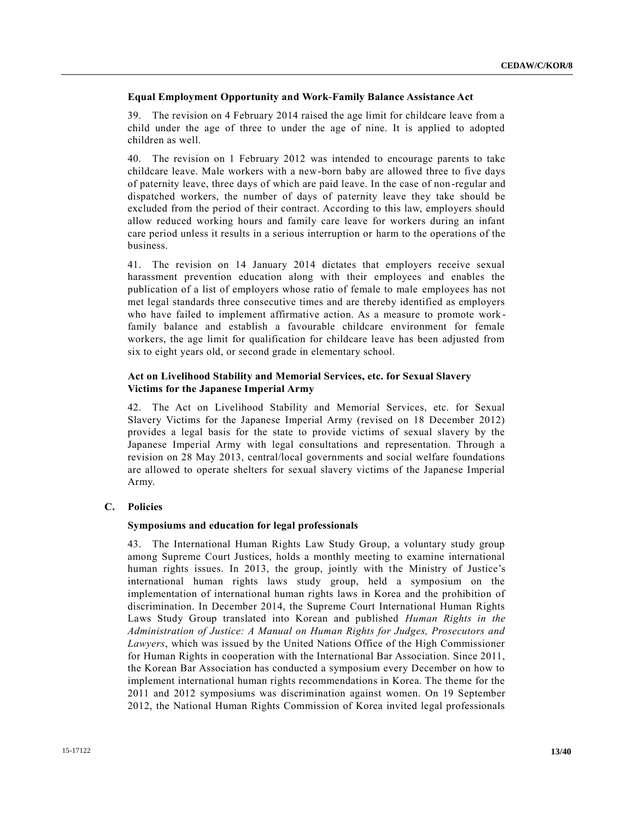## **Equal Employment Opportunity and Work-Family Balance Assistance Act**

39. The revision on 4 February 2014 raised the age limit for childcare leave from a child under the age of three to under the age of nine. It is applied to adopted children as well.

40. The revision on 1 February 2012 was intended to encourage parents to take childcare leave. Male workers with a new-born baby are allowed three to five days of paternity leave, three days of which are paid leave. In the case of non -regular and dispatched workers, the number of days of paternity leave they take should be excluded from the period of their contract. According to this law, employers should allow reduced working hours and family care leave for workers during an infant care period unless it results in a serious interruption or harm to the operations of the business.

41. The revision on 14 January 2014 dictates that employers receive sexual harassment prevention education along with their employees and enables the publication of a list of employers whose ratio of female to male employees has not met legal standards three consecutive times and are thereby identified as employers who have failed to implement affirmative action. As a measure to promote work family balance and establish a favourable childcare environment for female workers, the age limit for qualification for childcare leave has been adjusted from six to eight years old, or second grade in elementary school.

## **Act on Livelihood Stability and Memorial Services, etc. for Sexual Slavery Victims for the Japanese Imperial Army**

42. The Act on Livelihood Stability and Memorial Services, etc. for Sexual Slavery Victims for the Japanese Imperial Army (revised on 18 December 2012) provides a legal basis for the state to provide victims of sexual slavery by the Japanese Imperial Army with legal consultations and representation. Through a revision on 28 May 2013, central/local governments and social welfare foundations are allowed to operate shelters for sexual slavery victims of the Japanese Imperial Army.

## **C. Policies**

## **Symposiums and education for legal professionals**

43. The International Human Rights Law Study Group, a voluntary study group among Supreme Court Justices, holds a monthly meeting to examine international human rights issues. In 2013, the group, jointly with the Ministry of Justice's international human rights laws study group, held a symposium on the implementation of international human rights laws in Korea and the prohibition of discrimination. In December 2014, the Supreme Court International Human Rights Laws Study Group translated into Korean and published *Human Rights in the Administration of Justice: A Manual on Human Rights for Judges, Prosecutors and Lawyers*, which was issued by the United Nations Office of the High Commissioner for Human Rights in cooperation with the International Bar Association. Since 2011, the Korean Bar Association has conducted a symposium every December on how to implement international human rights recommendations in Korea. The theme for the 2011 and 2012 symposiums was discrimination against women. On 19 September 2012, the National Human Rights Commission of Korea invited legal professionals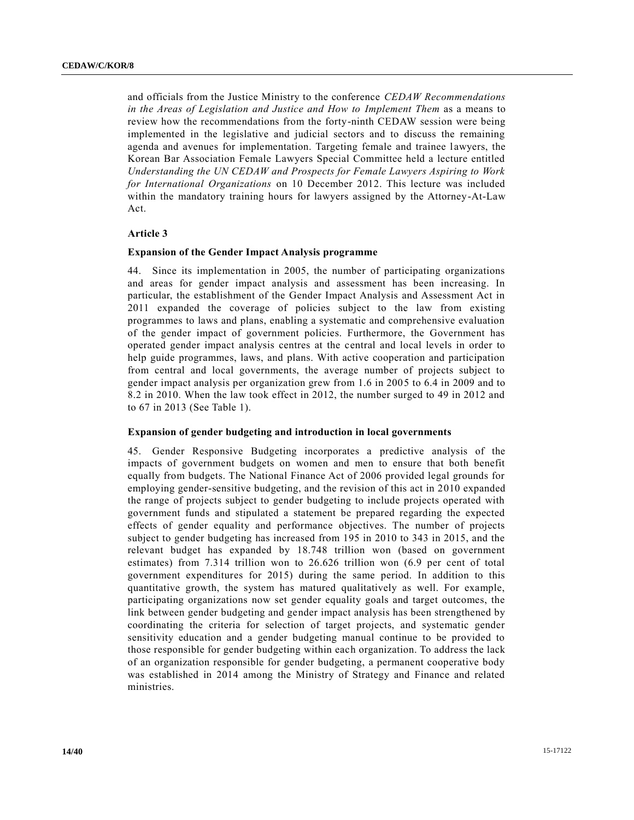and officials from the Justice Ministry to the conference *CEDAW Recommendations in the Areas of Legislation and Justice and How to Implement Them* as a means to review how the recommendations from the forty-ninth CEDAW session were being implemented in the legislative and judicial sectors and to discuss the remaining agenda and avenues for implementation. Targeting female and trainee lawyers, the Korean Bar Association Female Lawyers Special Committee held a lecture entitled *Understanding the UN CEDAW and Prospects for Female Lawyers Aspiring to Work for International Organizations* on 10 December 2012. This lecture was included within the mandatory training hours for lawyers assigned by the Attorney-At-Law Act.

#### **Article 3**

#### **Expansion of the Gender Impact Analysis programme**

44. Since its implementation in 2005, the number of participating organizations and areas for gender impact analysis and assessment has been increasing. In particular, the establishment of the Gender Impact Analysis and Assessment Act in 2011 expanded the coverage of policies subject to the law from existing programmes to laws and plans, enabling a systematic and comprehensive evaluation of the gender impact of government policies. Furthermore, the Government has operated gender impact analysis centres at the central and local levels in order to help guide programmes, laws, and plans. With active cooperation and participation from central and local governments, the average number of projects subject to gender impact analysis per organization grew from 1.6 in 2005 to 6.4 in 2009 and to 8.2 in 2010. When the law took effect in 2012, the number surged to 49 in 2012 and to 67 in 2013 (See Table 1).

## **Expansion of gender budgeting and introduction in local governments**

45. Gender Responsive Budgeting incorporates a predictive analysis of the impacts of government budgets on women and men to ensure that both benefit equally from budgets. The National Finance Act of 2006 provided legal grounds for employing gender-sensitive budgeting, and the revision of this act in 2010 expanded the range of projects subject to gender budgeting to include projects operated with government funds and stipulated a statement be prepared regarding the expected effects of gender equality and performance objectives. The number of projects subject to gender budgeting has increased from 195 in 2010 to 343 in 2015, and the relevant budget has expanded by 18.748 trillion won (based on government estimates) from 7.314 trillion won to 26.626 trillion won (6.9 per cent of total government expenditures for 2015) during the same period. In addition to this quantitative growth, the system has matured qualitatively as well. For example, participating organizations now set gender equality goals and target outcomes, the link between gender budgeting and gender impact analysis has been strengthened by coordinating the criteria for selection of target projects, and systematic gender sensitivity education and a gender budgeting manual continue to be provided to those responsible for gender budgeting within each organization. To address the lack of an organization responsible for gender budgeting, a permanent cooperative body was established in 2014 among the Ministry of Strategy and Finance and related ministries.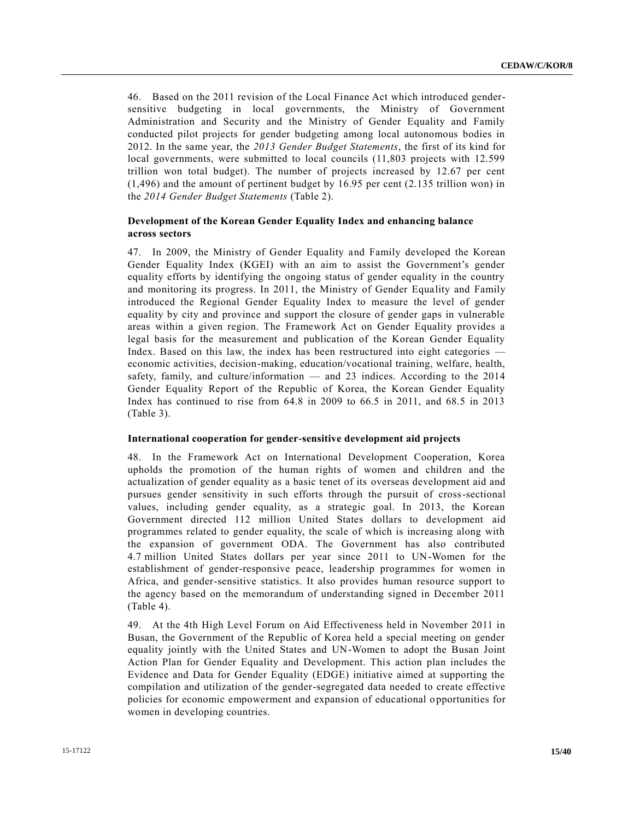46. Based on the 2011 revision of the Local Finance Act which introduced gendersensitive budgeting in local governments, the Ministry of Government Administration and Security and the Ministry of Gender Equality and Family conducted pilot projects for gender budgeting among local autonomous bodies in 2012. In the same year, the *2013 Gender Budget Statements*, the first of its kind for local governments, were submitted to local councils (11,803 projects with 12.599 trillion won total budget). The number of projects increased by 12.67 per cent (1,496) and the amount of pertinent budget by 16.95 per cent (2.135 trillion won) in the *2014 Gender Budget Statements* (Table 2).

## **Development of the Korean Gender Equality Index and enhancing balance across sectors**

47. In 2009, the Ministry of Gender Equality and Family developed the Korean Gender Equality Index (KGEI) with an aim to assist the Government's gender equality efforts by identifying the ongoing status of gender equality in the country and monitoring its progress. In 2011, the Ministry of Gender Equality and Family introduced the Regional Gender Equality Index to measure the level of gender equality by city and province and support the closure of gender gaps in vulnerable areas within a given region. The Framework Act on Gender Equality provides a legal basis for the measurement and publication of the Korean Gender Equality Index. Based on this law, the index has been restructured into eight categories economic activities, decision-making, education/vocational training, welfare, health, safety, family, and culture/information — and 23 indices. According to the 2014 Gender Equality Report of the Republic of Korea, the Korean Gender Equality Index has continued to rise from 64.8 in 2009 to 66.5 in 2011, and 68.5 in 2013 (Table 3).

## **International cooperation for gender-sensitive development aid projects**

48. In the Framework Act on International Development Cooperation, Korea upholds the promotion of the human rights of women and children and the actualization of gender equality as a basic tenet of its overseas development aid and pursues gender sensitivity in such efforts through the pursuit of cross-sectional values, including gender equality, as a strategic goal. In 2013, the Korean Government directed 112 million United States dollars to development aid programmes related to gender equality, the scale of which is increasing along with the expansion of government ODA. The Government has also contributed 4.7 million United States dollars per year since 2011 to UN-Women for the establishment of gender-responsive peace, leadership programmes for women in Africa, and gender-sensitive statistics. It also provides human resource support to the agency based on the memorandum of understanding signed in December 2011 (Table 4).

49. At the 4th High Level Forum on Aid Effectiveness held in November 2011 in Busan, the Government of the Republic of Korea held a special meeting on gender equality jointly with the United States and UN-Women to adopt the Busan Joint Action Plan for Gender Equality and Development. This action plan includes the Evidence and Data for Gender Equality (EDGE) initiative aimed at supporting the compilation and utilization of the gender-segregated data needed to create effective policies for economic empowerment and expansion of educational opportunities for women in developing countries.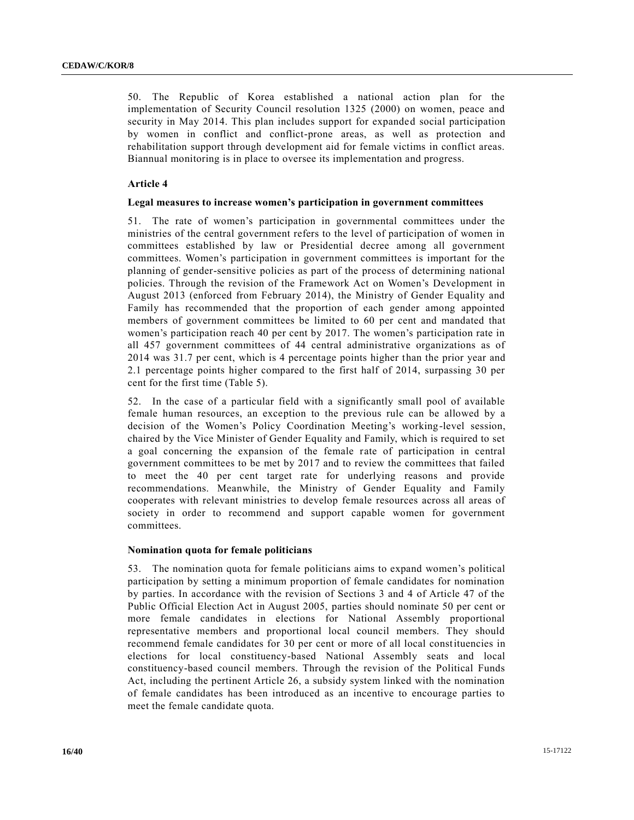50. The Republic of Korea established a national action plan for the implementation of Security Council resolution 1325 (2000) on women, peace and security in May 2014. This plan includes support for expanded social participation by women in conflict and conflict-prone areas, as well as protection and rehabilitation support through development aid for female victims in conflict areas. Biannual monitoring is in place to oversee its implementation and progress.

## **Article 4**

#### **Legal measures to increase women's participation in government committees**

51. The rate of women's participation in governmental committees under the ministries of the central government refers to the level of participation of women in committees established by law or Presidential decree among all government committees. Women's participation in government committees is important for the planning of gender-sensitive policies as part of the process of determining national policies. Through the revision of the Framework Act on Women's Development in August 2013 (enforced from February 2014), the Ministry of Gender Equality and Family has recommended that the proportion of each gender among appointed members of government committees be limited to 60 per cent and mandated that women's participation reach 40 per cent by 2017. The women's participation rate in all 457 government committees of 44 central administrative organizations as of 2014 was 31.7 per cent, which is 4 percentage points higher than the prior year and 2.1 percentage points higher compared to the first half of 2014, surpassing 30 per cent for the first time (Table 5).

52. In the case of a particular field with a significantly small pool of available female human resources, an exception to the previous rule can be allowed by a decision of the Women's Policy Coordination Meeting's working-level session, chaired by the Vice Minister of Gender Equality and Family, which is required to set a goal concerning the expansion of the female rate of participation in central government committees to be met by 2017 and to review the committees that failed to meet the 40 per cent target rate for underlying reasons and provide recommendations. Meanwhile, the Ministry of Gender Equality and Family cooperates with relevant ministries to develop female resources across all areas of society in order to recommend and support capable women for government committees.

## **Nomination quota for female politicians**

53. The nomination quota for female politicians aims to expand women's political participation by setting a minimum proportion of female candidates for nomination by parties. In accordance with the revision of Sections 3 and 4 of Article 47 of the Public Official Election Act in August 2005, parties should nominate 50 per cent or more female candidates in elections for National Assembly proportional representative members and proportional local council members. They should recommend female candidates for 30 per cent or more of all local constituencies in elections for local constituency-based National Assembly seats and local constituency-based council members. Through the revision of the Political Funds Act, including the pertinent Article 26, a subsidy system linked with the nomination of female candidates has been introduced as an incentive to encourage parties to meet the female candidate quota.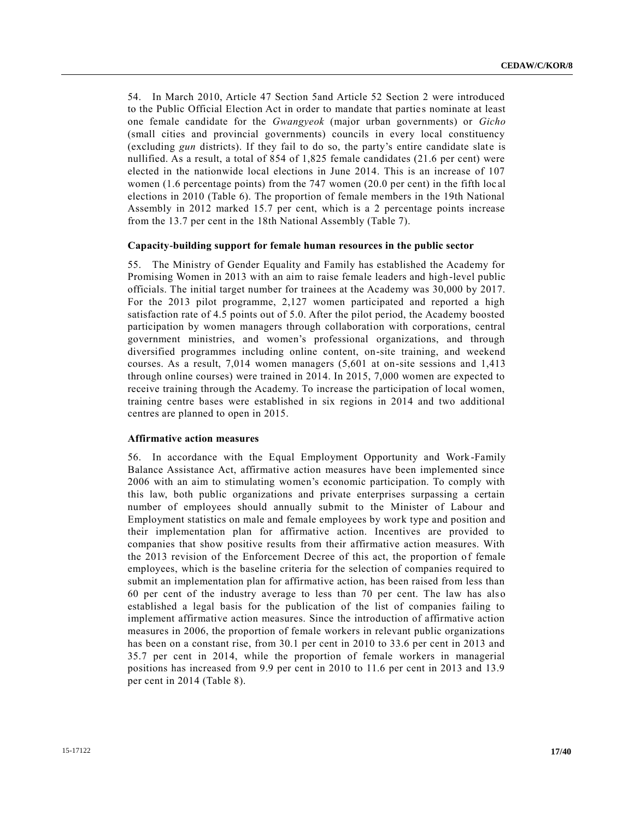54. In March 2010, Article 47 Section 5and Article 52 Section 2 were introduced to the Public Official Election Act in order to mandate that partie s nominate at least one female candidate for the *Gwangyeok* (major urban governments) or *Gicho* (small cities and provincial governments) councils in every local constituency (excluding *gun* districts). If they fail to do so, the party's entire candidate slate is nullified. As a result, a total of 854 of 1,825 female candidates (21.6 per cent) were elected in the nationwide local elections in June 2014. This is an increase of 107 women (1.6 percentage points) from the 747 women (20.0 per cent) in the fifth loc al elections in 2010 (Table 6). The proportion of female members in the 19th National Assembly in 2012 marked 15.7 per cent, which is a 2 percentage points increase from the 13.7 per cent in the 18th National Assembly (Table 7).

#### **Capacity-building support for female human resources in the public sector**

55. The Ministry of Gender Equality and Family has established the Academy for Promising Women in 2013 with an aim to raise female leaders and high-level public officials. The initial target number for trainees at the Academy was 30,000 by 2017. For the 2013 pilot programme, 2,127 women participated and reported a high satisfaction rate of 4.5 points out of 5.0. After the pilot period, the Academy boosted participation by women managers through collaboration with corporations, central government ministries, and women's professional organizations, and through diversified programmes including online content, on-site training, and weekend courses. As a result, 7,014 women managers (5,601 at on-site sessions and 1,413 through online courses) were trained in 2014. In 2015, 7,000 women are expected to receive training through the Academy. To increase the participation of local women, training centre bases were established in six regions in 2014 and two additional centres are planned to open in 2015.

#### **Affirmative action measures**

56. In accordance with the Equal Employment Opportunity and Work-Family Balance Assistance Act, affirmative action measures have been implemented since 2006 with an aim to stimulating women's economic participation. To comply with this law, both public organizations and private enterprises surpassing a certain number of employees should annually submit to the Minister of Labour and Employment statistics on male and female employees by work type and position and their implementation plan for affirmative action. Incentives are provided to companies that show positive results from their affirmative action measures. With the 2013 revision of the Enforcement Decree of this act, the proportion of female employees, which is the baseline criteria for the selection of companies required to submit an implementation plan for affirmative action, has been raised from less than 60 per cent of the industry average to less than 70 per cent. The law has also established a legal basis for the publication of the list of companies failing to implement affirmative action measures. Since the introduction of affirmative action measures in 2006, the proportion of female workers in relevant public organizations has been on a constant rise, from 30.1 per cent in 2010 to 33.6 per cent in 2013 and 35.7 per cent in 2014, while the proportion of female workers in managerial positions has increased from 9.9 per cent in 2010 to 11.6 per cent in 2013 and 13.9 per cent in 2014 (Table 8).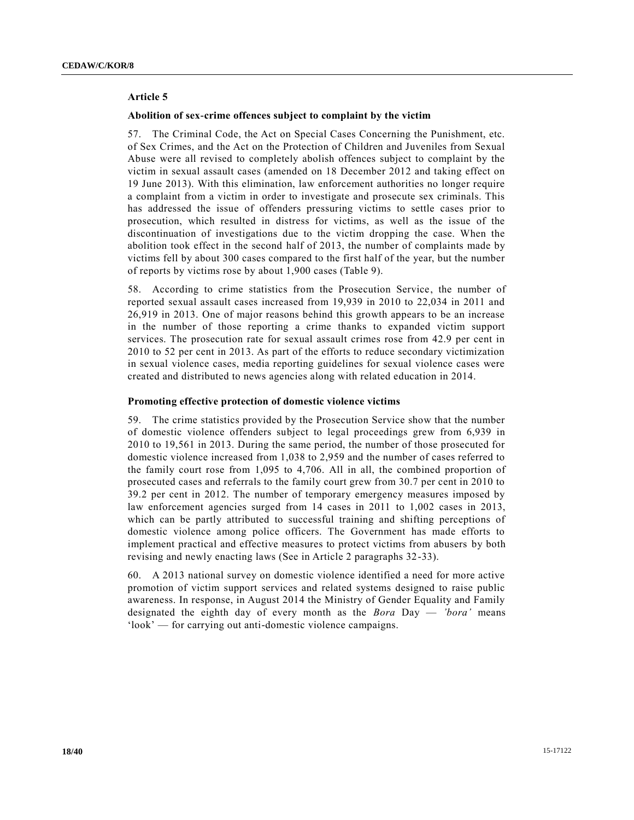## **Article 5**

#### **Abolition of sex-crime offences subject to complaint by the victim**

57. The Criminal Code, the Act on Special Cases Concerning the Punishment, etc. of Sex Crimes, and the Act on the Protection of Children and Juveniles from Sexual Abuse were all revised to completely abolish offences subject to complaint by the victim in sexual assault cases (amended on 18 December 2012 and taking effect on 19 June 2013). With this elimination, law enforcement authorities no longer require a complaint from a victim in order to investigate and prosecute sex criminals. This has addressed the issue of offenders pressuring victims to settle cases prior to prosecution, which resulted in distress for victims, as well as the issue of the discontinuation of investigations due to the victim dropping the case. When the abolition took effect in the second half of 2013, the number of complaints made by victims fell by about 300 cases compared to the first half of the year, but the number of reports by victims rose by about 1,900 cases (Table 9).

58. According to crime statistics from the Prosecution Service, the number of reported sexual assault cases increased from 19,939 in 2010 to 22,034 in 2011 and 26,919 in 2013. One of major reasons behind this growth appears to be an increase in the number of those reporting a crime thanks to expanded victim support services. The prosecution rate for sexual assault crimes rose from 42.9 per cent in 2010 to 52 per cent in 2013. As part of the efforts to reduce secondary victimization in sexual violence cases, media reporting guidelines for sexual violence cases were created and distributed to news agencies along with related education in 2014.

#### **Promoting effective protection of domestic violence victims**

59. The crime statistics provided by the Prosecution Service show that the number of domestic violence offenders subject to legal proceedings grew from 6,939 in 2010 to 19,561 in 2013. During the same period, the number of those prosecuted for domestic violence increased from 1,038 to 2,959 and the number of cases referred to the family court rose from 1,095 to 4,706. All in all, the combined proportion of prosecuted cases and referrals to the family court grew from 30.7 per cent in 2010 to 39.2 per cent in 2012. The number of temporary emergency measures imposed by law enforcement agencies surged from 14 cases in 2011 to 1,002 cases in 2013, which can be partly attributed to successful training and shifting perceptions of domestic violence among police officers. The Government has made efforts to implement practical and effective measures to protect victims from abusers by both revising and newly enacting laws (See in Article 2 paragraphs 32-33).

60. A 2013 national survey on domestic violence identified a need for more active promotion of victim support services and related systems designed to raise public awareness. In response, in August 2014 the Ministry of Gender Equality and Family designated the eighth day of every month as the *Bora* Day — *'bora'* means 'look' — for carrying out anti-domestic violence campaigns.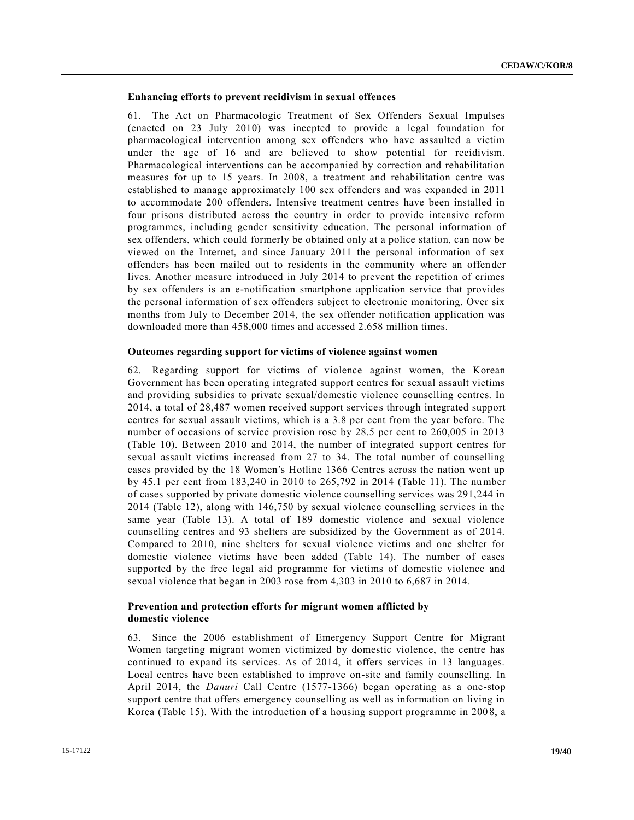#### **Enhancing efforts to prevent recidivism in sexual offences**

61. The Act on Pharmacologic Treatment of Sex Offenders Sexual Impulses (enacted on 23 July 2010) was incepted to provide a legal foundation for pharmacological intervention among sex offenders who have assaulted a victim under the age of 16 and are believed to show potential for recidivism. Pharmacological interventions can be accompanied by correction and rehabilitation measures for up to 15 years. In 2008, a treatment and rehabilitation centre was established to manage approximately 100 sex offenders and was expanded in 2011 to accommodate 200 offenders. Intensive treatment centres have been installed in four prisons distributed across the country in order to provide intensive reform programmes, including gender sensitivity education. The personal information of sex offenders, which could formerly be obtained only at a police station, can now be viewed on the Internet, and since January 2011 the personal information of sex offenders has been mailed out to residents in the community where an offender lives. Another measure introduced in July 2014 to prevent the repetition of crimes by sex offenders is an e-notification smartphone application service that provides the personal information of sex offenders subject to electronic monitoring. Over six months from July to December 2014, the sex offender notification application was downloaded more than 458,000 times and accessed 2.658 million times.

#### **Outcomes regarding support for victims of violence against women**

62. Regarding support for victims of violence against women, the Korean Government has been operating integrated support centres for sexual assault victims and providing subsidies to private sexual/domestic violence counselling centres. In 2014, a total of 28,487 women received support services through integrated support centres for sexual assault victims, which is a 3.8 per cent from the year before. The number of occasions of service provision rose by 28.5 per cent to 260,005 in 2013 (Table 10). Between 2010 and 2014, the number of integrated support centres for sexual assault victims increased from 27 to 34. The total number of counselling cases provided by the 18 Women's Hotline 1366 Centres across the nation went up by 45.1 per cent from 183,240 in 2010 to 265,792 in 2014 (Table 11). The number of cases supported by private domestic violence counselling services was 291,244 in 2014 (Table 12), along with 146,750 by sexual violence counselling services in the same year (Table 13). A total of 189 domestic violence and sexual violence counselling centres and 93 shelters are subsidized by the Government as of 2014. Compared to 2010, nine shelters for sexual violence victims and one shelter for domestic violence victims have been added (Table 14). The number of cases supported by the free legal aid programme for victims of domestic violence and sexual violence that began in 2003 rose from 4,303 in 2010 to 6,687 in 2014.

## **Prevention and protection efforts for migrant women afflicted by domestic violence**

63. Since the 2006 establishment of Emergency Support Centre for Migrant Women targeting migrant women victimized by domestic violence, the centre has continued to expand its services. As of 2014, it offers services in 13 languages. Local centres have been established to improve on-site and family counselling. In April 2014, the *Danuri* Call Centre (1577-1366) began operating as a one-stop support centre that offers emergency counselling as well as information on living in Korea (Table 15). With the introduction of a housing support programme in 200 8, a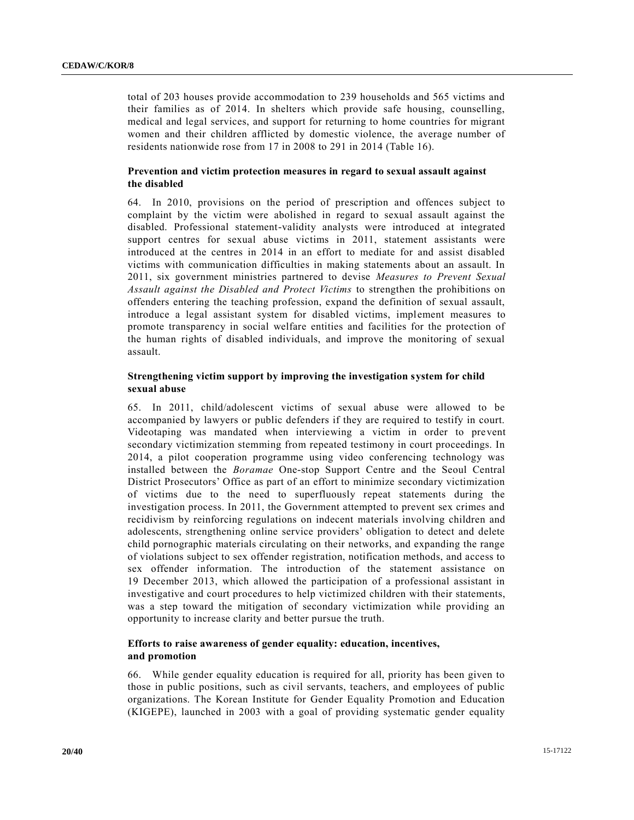total of 203 houses provide accommodation to 239 households and 565 victims and their families as of 2014. In shelters which provide safe housing, counselling, medical and legal services, and support for returning to home countries for migrant women and their children afflicted by domestic violence, the average number of residents nationwide rose from 17 in 2008 to 291 in 2014 (Table 16).

## **Prevention and victim protection measures in regard to sexual assault against the disabled**

64. In 2010, provisions on the period of prescription and offences subject to complaint by the victim were abolished in regard to sexual assault against the disabled. Professional statement-validity analysts were introduced at integrated support centres for sexual abuse victims in 2011, statement assistants were introduced at the centres in 2014 in an effort to mediate for and assist disabled victims with communication difficulties in making statements about an assault. In 2011, six government ministries partnered to devise *Measures to Prevent Sexual Assault against the Disabled and Protect Victims* to strengthen the prohibitions on offenders entering the teaching profession, expand the definition of sexual assault, introduce a legal assistant system for disabled victims, implement measures to promote transparency in social welfare entities and facilities for the protection of the human rights of disabled individuals, and improve the monitoring of sexual assault.

## **Strengthening victim support by improving the investigation system for child sexual abuse**

65. In 2011, child/adolescent victims of sexual abuse were allowed to be accompanied by lawyers or public defenders if they are required to testify in court. Videotaping was mandated when interviewing a victim in order to prevent secondary victimization stemming from repeated testimony in court proceedings. In 2014, a pilot cooperation programme using video conferencing technology was installed between the *Boramae* One-stop Support Centre and the Seoul Central District Prosecutors' Office as part of an effort to minimize secondary victimization of victims due to the need to superfluously repeat statements during the investigation process. In 2011, the Government attempted to prevent sex crimes and recidivism by reinforcing regulations on indecent materials involving children and adolescents, strengthening online service providers' obligation to detect and delete child pornographic materials circulating on their networks, and expanding the range of violations subject to sex offender registration, notification methods, and access to sex offender information. The introduction of the statement assistance on 19 December 2013, which allowed the participation of a professional assistant in investigative and court procedures to help victimized children with their statements, was a step toward the mitigation of secondary victimization while providing an opportunity to increase clarity and better pursue the truth.

## **Efforts to raise awareness of gender equality: education, incentives, and promotion**

66. While gender equality education is required for all, priority has been given to those in public positions, such as civil servants, teachers, and employees of public organizations. The Korean Institute for Gender Equality Promotion and Education (KIGEPE), launched in 2003 with a goal of providing systematic gender equality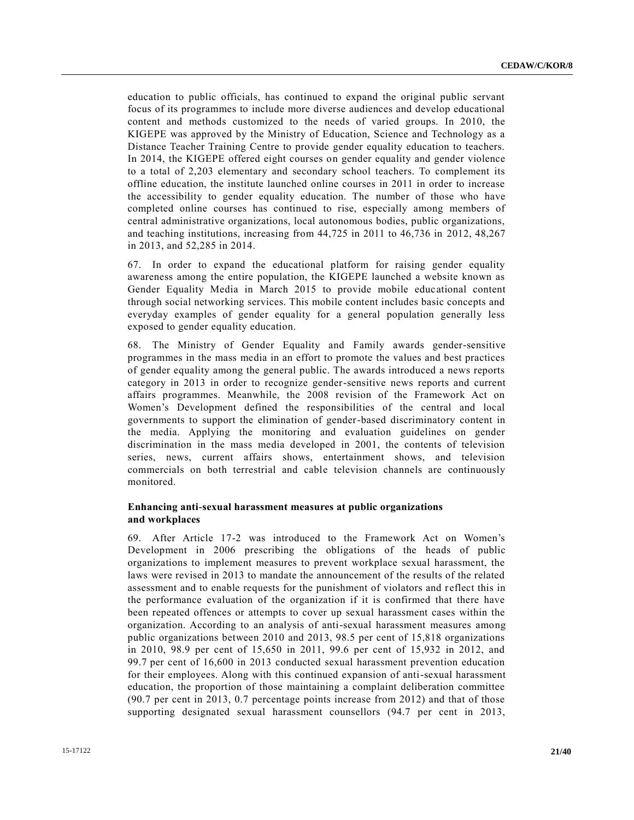education to public officials, has continued to expand the original public servant focus of its programmes to include more diverse audiences and develop educational content and methods customized to the needs of varied groups. In 2010, the KIGEPE was approved by the Ministry of Education, Science and Technology as a Distance Teacher Training Centre to provide gender equality education to teachers. In 2014, the KIGEPE offered eight courses on gender equality and gender violence to a total of 2,203 elementary and secondary school teachers. To complement its offline education, the institute launched online courses in 2011 in order to increase the accessibility to gender equality education. The number of those who have completed online courses has continued to rise, especially among members of central administrative organizations, local autonomous bodies, public organizations, and teaching institutions, increasing from 44,725 in 2011 to 46,736 in 2012, 48,267 in 2013, and 52,285 in 2014.

67. In order to expand the educational platform for raising gender equality awareness among the entire population, the KIGEPE launched a website known as Gender Equality Media in March 2015 to provide mobile educational content through social networking services. This mobile content includes basic concepts and everyday examples of gender equality for a general population generally less exposed to gender equality education.

68. The Ministry of Gender Equality and Family awards gender-sensitive programmes in the mass media in an effort to promote the values and best practices of gender equality among the general public. The awards introduced a news reports category in 2013 in order to recognize gender-sensitive news reports and current affairs programmes. Meanwhile, the 2008 revision of the Framework Act on Women's Development defined the responsibilities of the central and local governments to support the elimination of gender-based discriminatory content in the media. Applying the monitoring and evaluation guidelines on gender discrimination in the mass media developed in 2001, the contents of television series, news, current affairs shows, entertainment shows, and television commercials on both terrestrial and cable television channels are continuously monitored.

## **Enhancing anti-sexual harassment measures at public organizations and workplaces**

69. After Article 17-2 was introduced to the Framework Act on Women's Development in 2006 prescribing the obligations of the heads of public organizations to implement measures to prevent workplace sexual harassment, the laws were revised in 2013 to mandate the announcement of the results of the related assessment and to enable requests for the punishment of violators and r eflect this in the performance evaluation of the organization if it is confirmed that there have been repeated offences or attempts to cover up sexual harassment cases within the organization. According to an analysis of anti-sexual harassment measures among public organizations between 2010 and 2013, 98.5 per cent of 15,818 organizations in 2010, 98.9 per cent of 15,650 in 2011, 99.6 per cent of 15,932 in 2012, and 99.7 per cent of 16,600 in 2013 conducted sexual harassment prevention education for their employees. Along with this continued expansion of anti-sexual harassment education, the proportion of those maintaining a complaint deliberation committee (90.7 per cent in 2013, 0.7 percentage points increase from 2012) and that of those supporting designated sexual harassment counsellors (94.7 per cent in 2013,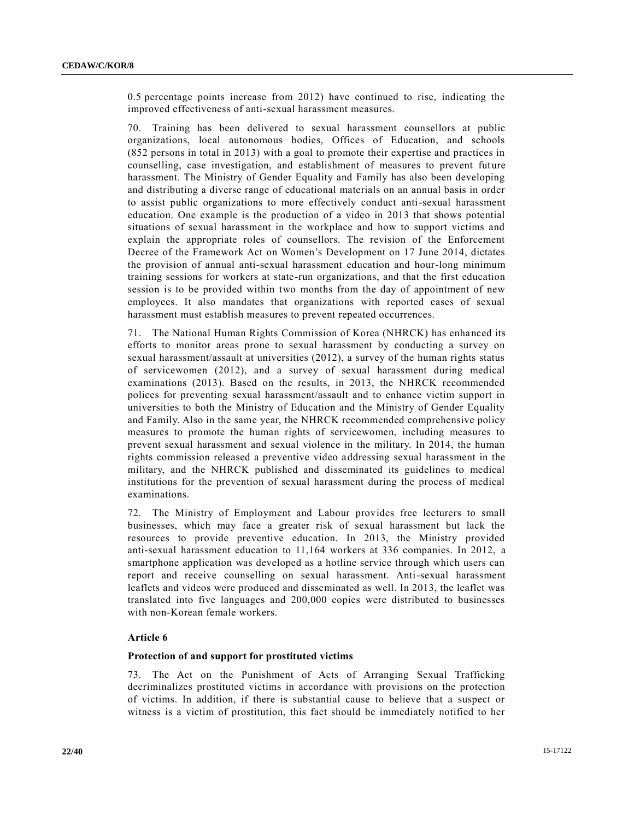0.5 percentage points increase from 2012) have continued to rise, indicating the improved effectiveness of anti-sexual harassment measures.

70. Training has been delivered to sexual harassment counsellors at public organizations, local autonomous bodies, Offices of Education, and schools (852 persons in total in 2013) with a goal to promote their expertise and practices in counselling, case investigation, and establishment of measures to prevent future harassment. The Ministry of Gender Equality and Family has also been developing and distributing a diverse range of educational materials on an annual basis in order to assist public organizations to more effectively conduct anti-sexual harassment education. One example is the production of a video in 2013 that shows potential situations of sexual harassment in the workplace and how to support victims and explain the appropriate roles of counsellors. The revision of the Enforcement Decree of the Framework Act on Women's Development on 17 June 2014, dictates the provision of annual anti-sexual harassment education and hour-long minimum training sessions for workers at state-run organizations, and that the first education session is to be provided within two months from the day of appointment of new employees. It also mandates that organizations with reported cases of sexual harassment must establish measures to prevent repeated occurrences.

71. The National Human Rights Commission of Korea (NHRCK) has enhanced its efforts to monitor areas prone to sexual harassment by conducting a survey on sexual harassment/assault at universities (2012), a survey of the human rights status of servicewomen (2012), and a survey of sexual harassment during medical examinations (2013). Based on the results, in 2013, the NHRCK recommended polices for preventing sexual harassment/assault and to enhance victim support in universities to both the Ministry of Education and the Ministry of Gender Equality and Family. Also in the same year, the NHRCK recommended comprehensive policy measures to promote the human rights of servicewomen, including measures to prevent sexual harassment and sexual violence in the military. In 2014, the human rights commission released a preventive video addressing sexual harassment in the military, and the NHRCK published and disseminated its guidelines to medical institutions for the prevention of sexual harassment during the process of medical examinations.

72. The Ministry of Employment and Labour provides free lecturers to small businesses, which may face a greater risk of sexual harassment but lack the resources to provide preventive education. In 2013, the Ministry provided anti-sexual harassment education to 11,164 workers at 336 companies. In 2012, a smartphone application was developed as a hotline service through which users can report and receive counselling on sexual harassment. Anti-sexual harassment leaflets and videos were produced and disseminated as well. In 2013, the leaflet was translated into five languages and 200,000 copies were distributed to businesses with non-Korean female workers.

## **Article 6**

## **Protection of and support for prostituted victims**

73. The Act on the Punishment of Acts of Arranging Sexual Trafficking decriminalizes prostituted victims in accordance with provisions on the protection of victims. In addition, if there is substantial cause to believe that a suspect or witness is a victim of prostitution, this fact should be immediately notified to her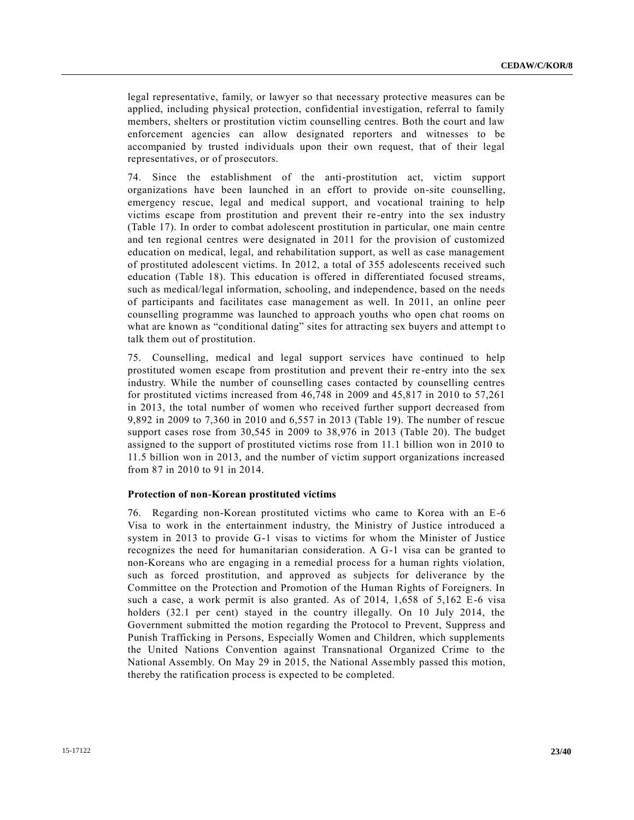legal representative, family, or lawyer so that necessary protective measures can be applied, including physical protection, confidential investigation, referral to family members, shelters or prostitution victim counselling centres. Both the court and law enforcement agencies can allow designated reporters and witnesses to be accompanied by trusted individuals upon their own request, that of their legal representatives, or of prosecutors.

74. Since the establishment of the anti-prostitution act, victim support organizations have been launched in an effort to provide on-site counselling, emergency rescue, legal and medical support, and vocational training to help victims escape from prostitution and prevent their re-entry into the sex industry (Table 17). In order to combat adolescent prostitution in particular, one main centre and ten regional centres were designated in 2011 for the provision of customized education on medical, legal, and rehabilitation support, as well as case management of prostituted adolescent victims. In 2012, a total of 355 adolescents received such education (Table 18). This education is offered in differentiated focused streams, such as medical/legal information, schooling, and independence, based on the needs of participants and facilitates case management as well. In 2011, an online peer counselling programme was launched to approach youths who open chat rooms on what are known as "conditional dating" sites for attracting sex buyers and attempt to talk them out of prostitution.

75. Counselling, medical and legal support services have continued to help prostituted women escape from prostitution and prevent their re-entry into the sex industry. While the number of counselling cases contacted by counselling centres for prostituted victims increased from 46,748 in 2009 and 45,817 in 2010 to 57,261 in 2013, the total number of women who received further support decreased from 9,892 in 2009 to 7,360 in 2010 and 6,557 in 2013 (Table 19). The number of rescue support cases rose from 30,545 in 2009 to 38,976 in 2013 (Table 20). The budget assigned to the support of prostituted victims rose from 11.1 billion won in 2010 to 11.5 billion won in 2013, and the number of victim support organizations increased from 87 in 2010 to 91 in 2014.

#### **Protection of non-Korean prostituted victims**

76. Regarding non-Korean prostituted victims who came to Korea with an E-6 Visa to work in the entertainment industry, the Ministry of Justice introduced a system in 2013 to provide G-1 visas to victims for whom the Minister of Justice recognizes the need for humanitarian consideration. A G-1 visa can be granted to non-Koreans who are engaging in a remedial process for a human rights violation, such as forced prostitution, and approved as subjects for deliverance by the Committee on the Protection and Promotion of the Human Rights of Foreigners. In such a case, a work permit is also granted. As of 2014, 1,658 of 5,162 E-6 visa holders (32.1 per cent) stayed in the country illegally. On 10 July 2014, the Government submitted the motion regarding the Protocol to Prevent, Suppress and Punish Trafficking in Persons, Especially Women and Children, which supplements the United Nations Convention against Transnational Organized Crime to the National Assembly. On May 29 in 2015, the National Assembly passed this motion, thereby the ratification process is expected to be completed.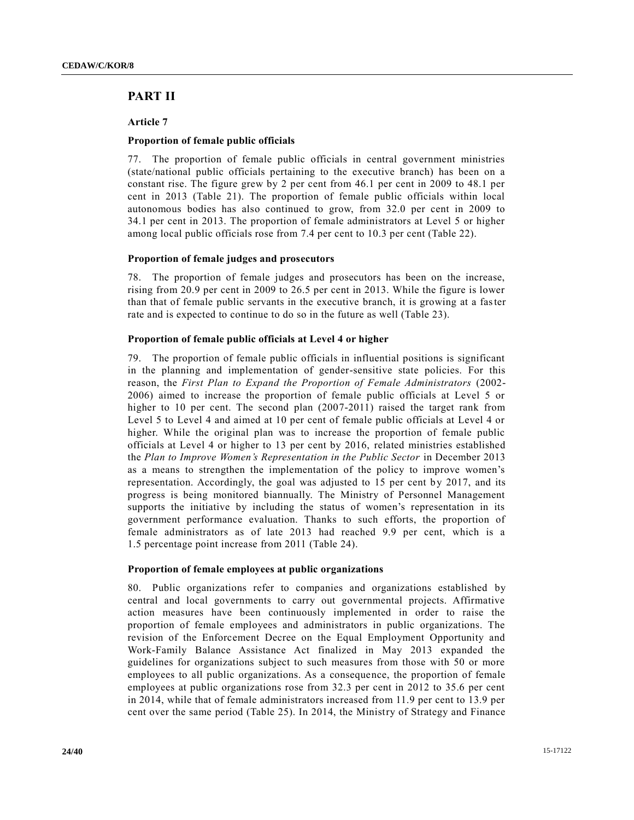## **PART II**

**Article 7**

## **Proportion of female public officials**

77. The proportion of female public officials in central government ministries (state/national public officials pertaining to the executive branch) has been on a constant rise. The figure grew by 2 per cent from 46.1 per cent in 2009 to 48.1 per cent in 2013 (Table 21). The proportion of female public officials within local autonomous bodies has also continued to grow, from 32.0 per cent in 2009 to 34.1 per cent in 2013. The proportion of female administrators at Level 5 or higher among local public officials rose from 7.4 per cent to 10.3 per cent (Table 22).

## **Proportion of female judges and prosecutors**

78. The proportion of female judges and prosecutors has been on the increase, rising from 20.9 per cent in 2009 to 26.5 per cent in 2013. While the figure is lower than that of female public servants in the executive branch, it is growing at a faster rate and is expected to continue to do so in the future as well (Table 23).

## **Proportion of female public officials at Level 4 or higher**

79. The proportion of female public officials in influential positions is significant in the planning and implementation of gender-sensitive state policies. For this reason, the *First Plan to Expand the Proportion of Female Administrators* (2002- 2006) aimed to increase the proportion of female public officials at Level 5 or higher to 10 per cent. The second plan (2007-2011) raised the target rank from Level 5 to Level 4 and aimed at 10 per cent of female public officials at Level 4 or higher. While the original plan was to increase the proportion of female public officials at Level 4 or higher to 13 per cent by 2016, related ministries established the *Plan to Improve Women's Representation in the Public Sector* in December 2013 as a means to strengthen the implementation of the policy to improve women's representation. Accordingly, the goal was adjusted to  $15$  per cent by  $2017$ , and its progress is being monitored biannually. The Ministry of Personnel Management supports the initiative by including the status of women's representation in its government performance evaluation. Thanks to such efforts, the proportion of female administrators as of late 2013 had reached 9.9 per cent, which is a 1.5 percentage point increase from 2011 (Table 24).

## **Proportion of female employees at public organizations**

80. Public organizations refer to companies and organizations established by central and local governments to carry out governmental projects. Affirmative action measures have been continuously implemented in order to raise the proportion of female employees and administrators in public organizations. The revision of the Enforcement Decree on the Equal Employment Opportunity and Work-Family Balance Assistance Act finalized in May 2013 expanded the guidelines for organizations subject to such measures from those with 50 or more employees to all public organizations. As a consequence, the proportion of female employees at public organizations rose from 32.3 per cent in 2012 to 35.6 per cent in 2014, while that of female administrators increased from 11.9 per cent to 13.9 per cent over the same period (Table 25). In 2014, the Ministry of Strategy and Finance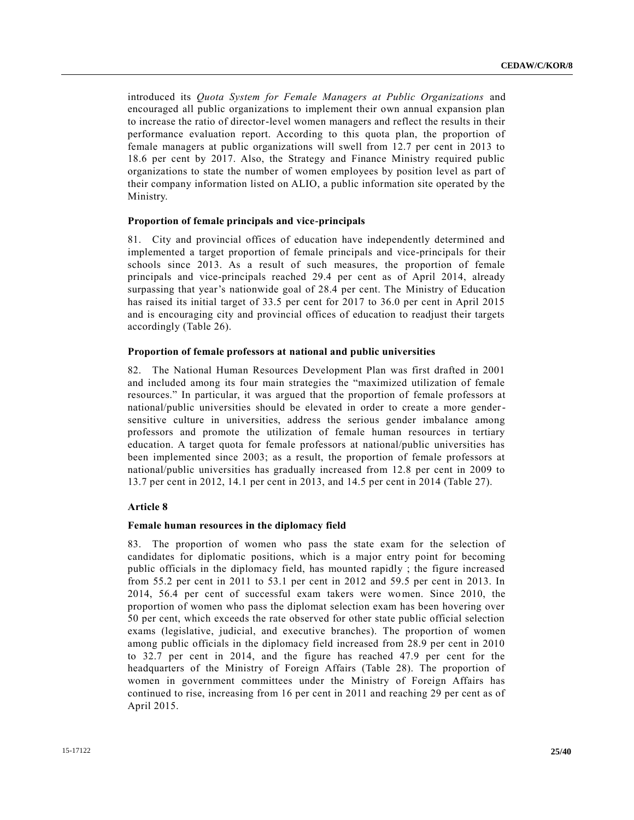introduced its *Quota System for Female Managers at Public Organizations* and encouraged all public organizations to implement their own annual expansion plan to increase the ratio of director-level women managers and reflect the results in their performance evaluation report. According to this quota plan, the proportion of female managers at public organizations will swell from 12.7 per cent in 2013 to 18.6 per cent by 2017. Also, the Strategy and Finance Ministry required public organizations to state the number of women employees by position level as part of their company information listed on ALIO, a public information site operated by the Ministry.

#### **Proportion of female principals and vice-principals**

81. City and provincial offices of education have independently determined and implemented a target proportion of female principals and vice-principals for their schools since 2013. As a result of such measures, the proportion of female principals and vice-principals reached 29.4 per cent as of April 2014, already surpassing that year's nationwide goal of 28.4 per cent. The Ministry of Education has raised its initial target of 33.5 per cent for 2017 to 36.0 per cent in April 2015 and is encouraging city and provincial offices of education to readjust their targets accordingly (Table 26).

#### **Proportion of female professors at national and public universities**

82. The National Human Resources Development Plan was first drafted in 2001 and included among its four main strategies the "maximized utilization of female resources." In particular, it was argued that the proportion of female professors at national/public universities should be elevated in order to create a more gendersensitive culture in universities, address the serious gender imbalance among professors and promote the utilization of female human resources in tertiary education. A target quota for female professors at national/public universities has been implemented since 2003; as a result, the proportion of female professors at national/public universities has gradually increased from 12.8 per cent in 2009 to 13.7 per cent in 2012, 14.1 per cent in 2013, and 14.5 per cent in 2014 (Table 27).

## **Article 8**

#### **Female human resources in the diplomacy field**

83. The proportion of women who pass the state exam for the selection of candidates for diplomatic positions, which is a major entry point for becoming public officials in the diplomacy field, has mounted rapidly ; the figure increased from 55.2 per cent in 2011 to 53.1 per cent in 2012 and 59.5 per cent in 2013. In 2014, 56.4 per cent of successful exam takers were women. Since 2010, the proportion of women who pass the diplomat selection exam has been hovering over 50 per cent, which exceeds the rate observed for other state public official selection exams (legislative, judicial, and executive branches). The proportion of women among public officials in the diplomacy field increased from 28.9 per cent in 2010 to 32.7 per cent in 2014, and the figure has reached 47.9 per cent for the headquarters of the Ministry of Foreign Affairs (Table 28). The proportion of women in government committees under the Ministry of Foreign Affairs has continued to rise, increasing from 16 per cent in 2011 and reaching 29 per cent as of April 2015.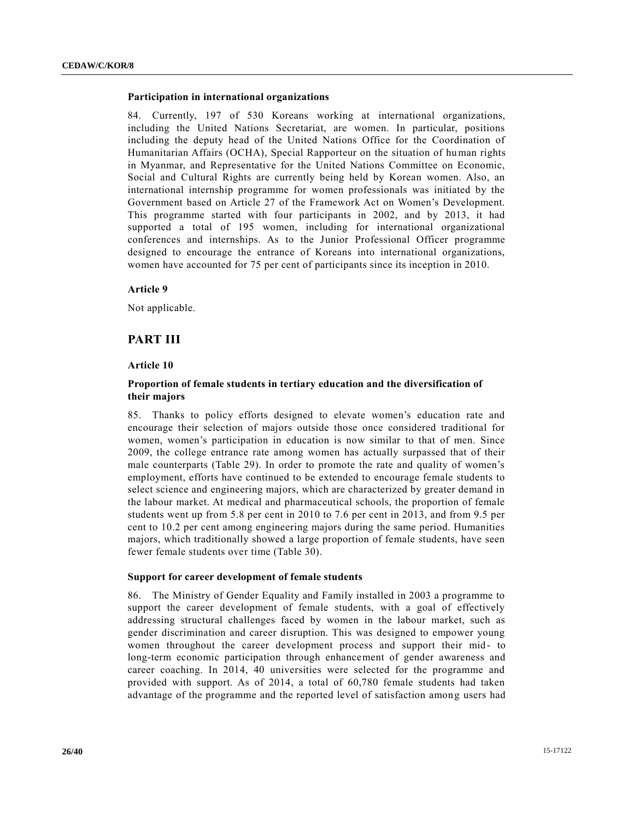#### **Participation in international organizations**

84. Currently, 197 of 530 Koreans working at international organizations, including the United Nations Secretariat, are women. In particular, positions including the deputy head of the United Nations Office for the Coordination of Humanitarian Affairs (OCHA), Special Rapporteur on the situation of human rights in Myanmar, and Representative for the United Nations Committee on Economic, Social and Cultural Rights are currently being held by Korean women. Also, an international internship programme for women professionals was initiated by the Government based on Article 27 of the Framework Act on Women's Development. This programme started with four participants in 2002, and by 2013, it had supported a total of 195 women, including for international organizational conferences and internships. As to the Junior Professional Officer programme designed to encourage the entrance of Koreans into international organizations, women have accounted for 75 per cent of participants since its inception in 2010.

#### **Article 9**

Not applicable.

#### **PART III**

#### **Article 10**

## **Proportion of female students in tertiary education and the diversification of their majors**

85. Thanks to policy efforts designed to elevate women's education rate and encourage their selection of majors outside those once considered traditional for women, women's participation in education is now similar to that of men. Since 2009, the college entrance rate among women has actually surpassed that of their male counterparts (Table 29). In order to promote the rate and quality of women's employment, efforts have continued to be extended to encourage female students to select science and engineering majors, which are characterized by greater demand in the labour market. At medical and pharmaceutical schools, the proportion of female students went up from 5.8 per cent in 2010 to 7.6 per cent in 2013, and from 9.5 per cent to 10.2 per cent among engineering majors during the same period. Humanities majors, which traditionally showed a large proportion of female students, have seen fewer female students over time (Table 30).

#### **Support for career development of female students**

86. The Ministry of Gender Equality and Family installed in 2003 a programme to support the career development of female students, with a goal of effectively addressing structural challenges faced by women in the labour market, such as gender discrimination and career disruption. This was designed to empower young women throughout the career development process and support their mid- to long-term economic participation through enhancement of gender awareness and career coaching. In 2014, 40 universities were selected for the programme and provided with support. As of 2014, a total of 60,780 female students had taken advantage of the programme and the reported level of satisfaction among users had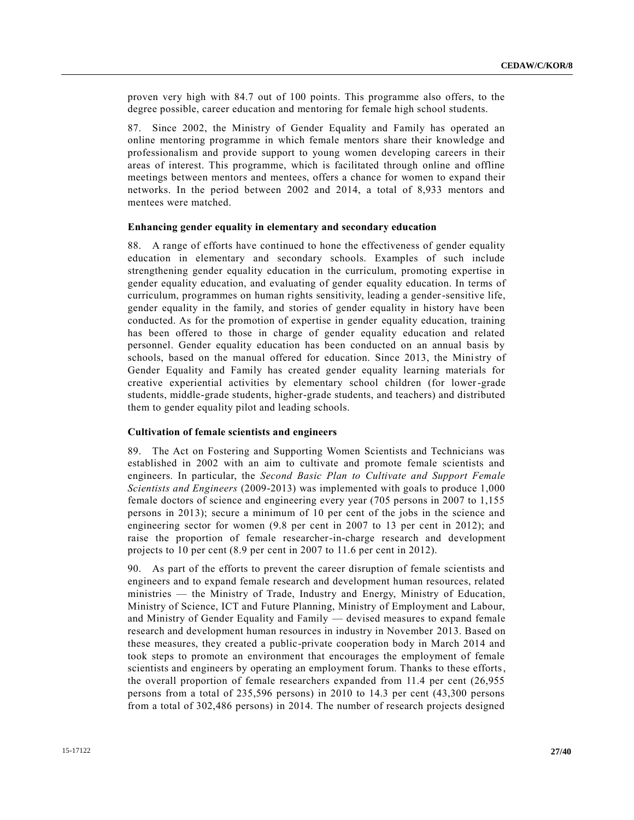proven very high with 84.7 out of 100 points. This programme also offers, to the degree possible, career education and mentoring for female high school students.

87. Since 2002, the Ministry of Gender Equality and Family has operated an online mentoring programme in which female mentors share their knowledge and professionalism and provide support to young women developing careers in their areas of interest. This programme, which is facilitated through online and offline meetings between mentors and mentees, offers a chance for women to expand their networks. In the period between 2002 and 2014, a total of 8,933 mentors and mentees were matched.

#### **Enhancing gender equality in elementary and secondary education**

88. A range of efforts have continued to hone the effectiveness of gender equality education in elementary and secondary schools. Examples of such include strengthening gender equality education in the curriculum, promoting expertise in gender equality education, and evaluating of gender equality education. In terms of curriculum, programmes on human rights sensitivity, leading a gender-sensitive life, gender equality in the family, and stories of gender equality in history have been conducted. As for the promotion of expertise in gender equality education, training has been offered to those in charge of gender equality education and related personnel. Gender equality education has been conducted on an annual basis by schools, based on the manual offered for education. Since 2013, the Ministry of Gender Equality and Family has created gender equality learning materials for creative experiential activities by elementary school children (for lower-grade students, middle-grade students, higher-grade students, and teachers) and distributed them to gender equality pilot and leading schools.

## **Cultivation of female scientists and engineers**

89. The Act on Fostering and Supporting Women Scientists and Technicians was established in 2002 with an aim to cultivate and promote female scientists and engineers. In particular, the *Second Basic Plan to Cultivate and Support Female Scientists and Engineers* (2009-2013) was implemented with goals to produce 1,000 female doctors of science and engineering every year (705 persons in 2007 to 1,155 persons in 2013); secure a minimum of 10 per cent of the jobs in the science and engineering sector for women (9.8 per cent in 2007 to 13 per cent in 2012); and raise the proportion of female researcher-in-charge research and development projects to 10 per cent (8.9 per cent in 2007 to 11.6 per cent in 2012).

90. As part of the efforts to prevent the career disruption of female scientists and engineers and to expand female research and development human resources, related ministries — the Ministry of Trade, Industry and Energy, Ministry of Education, Ministry of Science, ICT and Future Planning, Ministry of Employment and Labour, and Ministry of Gender Equality and Family — devised measures to expand female research and development human resources in industry in November 2013. Based on these measures, they created a public-private cooperation body in March 2014 and took steps to promote an environment that encourages the employment of female scientists and engineers by operating an employment forum. Thanks to these efforts, the overall proportion of female researchers expanded from 11.4 per cent (26,955 persons from a total of 235,596 persons) in 2010 to 14.3 per cent (43,300 persons from a total of 302,486 persons) in 2014. The number of research projects designed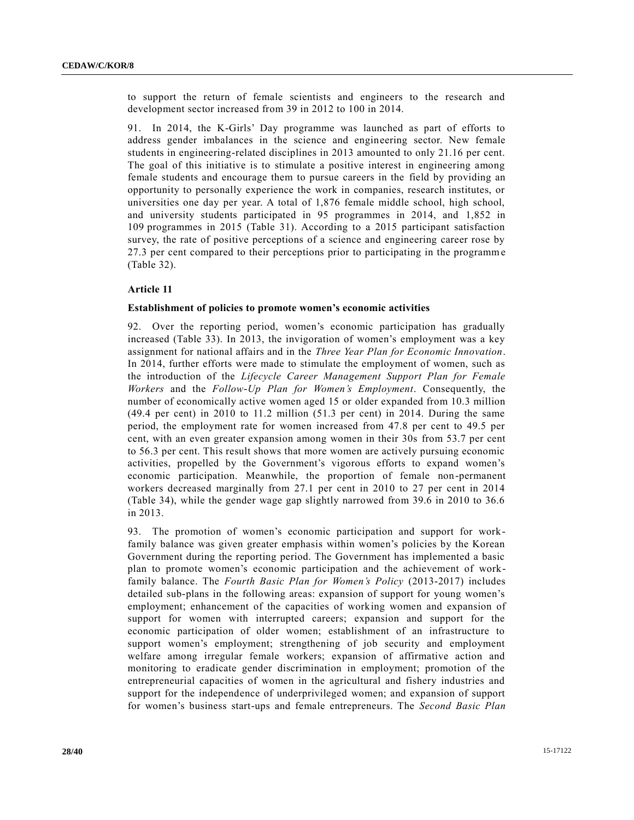to support the return of female scientists and engineers to the research and development sector increased from 39 in 2012 to 100 in 2014.

91. In 2014, the K-Girls' Day programme was launched as part of efforts to address gender imbalances in the science and engineering sector. New female students in engineering-related disciplines in 2013 amounted to only 21.16 per cent. The goal of this initiative is to stimulate a positive interest in engineering among female students and encourage them to pursue careers in the field by providing an opportunity to personally experience the work in companies, research institutes, or universities one day per year. A total of 1,876 female middle school, high school, and university students participated in 95 programmes in 2014, and 1,852 in 109 programmes in 2015 (Table 31). According to a 2015 participant satisfaction survey, the rate of positive perceptions of a science and engineering career rose by 27.3 per cent compared to their perceptions prior to participating in the programme (Table 32).

## **Article 11**

#### **Establishment of policies to promote women's economic activities**

92. Over the reporting period, women's economic participation has gradually increased (Table 33). In 2013, the invigoration of women's employment was a key assignment for national affairs and in the *Three Year Plan for Economic Innovation*. In 2014, further efforts were made to stimulate the employment of women, such as the introduction of the *Lifecycle Career Management Support Plan for Female Workers* and the *Follow-Up Plan for Women's Employment*. Consequently, the number of economically active women aged 15 or older expanded from 10.3 million (49.4 per cent) in 2010 to 11.2 million (51.3 per cent) in 2014. During the same period, the employment rate for women increased from 47.8 per cent to 49.5 per cent, with an even greater expansion among women in their 30s from 53.7 per cent to 56.3 per cent. This result shows that more women are actively pursuing economic activities, propelled by the Government's vigorous efforts to expand women's economic participation. Meanwhile, the proportion of female non-permanent workers decreased marginally from 27.1 per cent in 2010 to 27 per cent in 2014 (Table 34), while the gender wage gap slightly narrowed from 39.6 in 2010 to 36.6 in 2013.

93. The promotion of women's economic participation and support for workfamily balance was given greater emphasis within women's policies by the Korean Government during the reporting period. The Government has implemented a basic plan to promote women's economic participation and the achievement of workfamily balance. The *Fourth Basic Plan for Women's Policy* (2013-2017) includes detailed sub-plans in the following areas: expansion of support for young women's employment; enhancement of the capacities of working women and expansion of support for women with interrupted careers; expansion and support for the economic participation of older women; establishment of an infrastructure to support women's employment; strengthening of job security and employment welfare among irregular female workers; expansion of affirmative action and monitoring to eradicate gender discrimination in employment; promotion of the entrepreneurial capacities of women in the agricultural and fishery industries and support for the independence of underprivileged women; and expansion of support for women's business start-ups and female entrepreneurs. The *Second Basic Plan*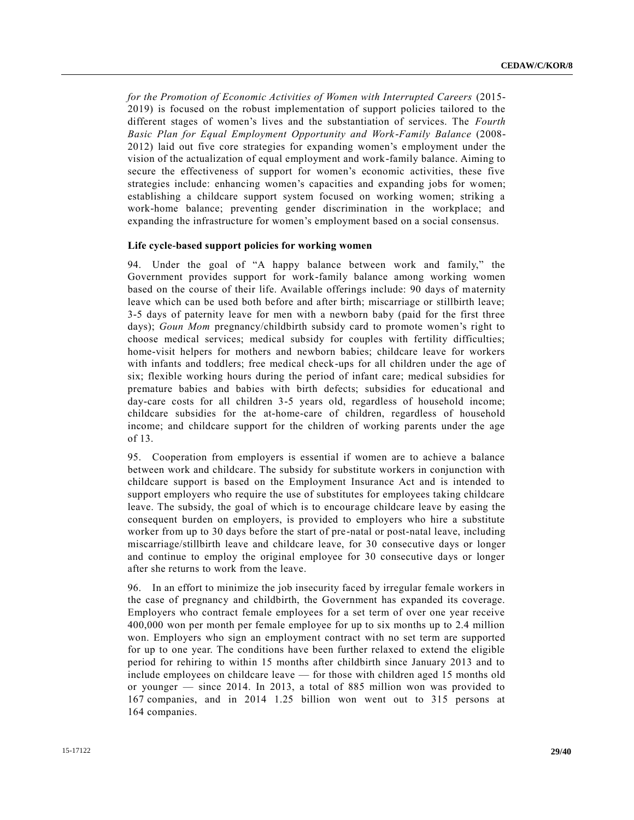*for the Promotion of Economic Activities of Women with Interrupted Careers* (2015- 2019) is focused on the robust implementation of support policies tailored to the different stages of women's lives and the substantiation of services. The *Fourth Basic Plan for Equal Employment Opportunity and Work-Family Balance* (2008- 2012) laid out five core strategies for expanding women's employment under the vision of the actualization of equal employment and work-family balance. Aiming to secure the effectiveness of support for women's economic activities, these five strategies include: enhancing women's capacities and expanding jobs for women; establishing a childcare support system focused on working women; striking a work-home balance; preventing gender discrimination in the workplace; and expanding the infrastructure for women's employment based on a social consensus.

#### **Life cycle-based support policies for working women**

94. Under the goal of "A happy balance between work and family," the Government provides support for work-family balance among working women based on the course of their life. Available offerings include: 90 days of maternity leave which can be used both before and after birth; miscarriage or stillbirth leave; 3-5 days of paternity leave for men with a newborn baby (paid for the first three days); *Goun Mom* pregnancy/childbirth subsidy card to promote women's right to choose medical services; medical subsidy for couples with fertility difficulties; home-visit helpers for mothers and newborn babies; childcare leave for workers with infants and toddlers; free medical check-ups for all children under the age of six; flexible working hours during the period of infant care; medical subsidies for premature babies and babies with birth defects; subsidies for educational and day-care costs for all children 3-5 years old, regardless of household income; childcare subsidies for the at-home-care of children, regardless of household income; and childcare support for the children of working parents under the age of 13.

95. Cooperation from employers is essential if women are to achieve a balance between work and childcare. The subsidy for substitute workers in conjunction with childcare support is based on the Employment Insurance Act and is intended to support employers who require the use of substitutes for employees taking childcare leave. The subsidy, the goal of which is to encourage childcare leave by easing the consequent burden on employers, is provided to employers who hire a substitute worker from up to 30 days before the start of pre-natal or post-natal leave, including miscarriage/stillbirth leave and childcare leave, for 30 consecutive days or longer and continue to employ the original employee for 30 consecutive days or longer after she returns to work from the leave.

96. In an effort to minimize the job insecurity faced by irregular female workers in the case of pregnancy and childbirth, the Government has expanded its coverage. Employers who contract female employees for a set term of over one year receive 400,000 won per month per female employee for up to six months up to 2.4 million won. Employers who sign an employment contract with no set term are supported for up to one year. The conditions have been further relaxed to extend the eligible period for rehiring to within 15 months after childbirth since January 2013 and to include employees on childcare leave — for those with children aged 15 months old or younger — since 2014. In 2013, a total of 885 million won was provided to 167 companies, and in 2014 1.25 billion won went out to 315 persons at 164 companies.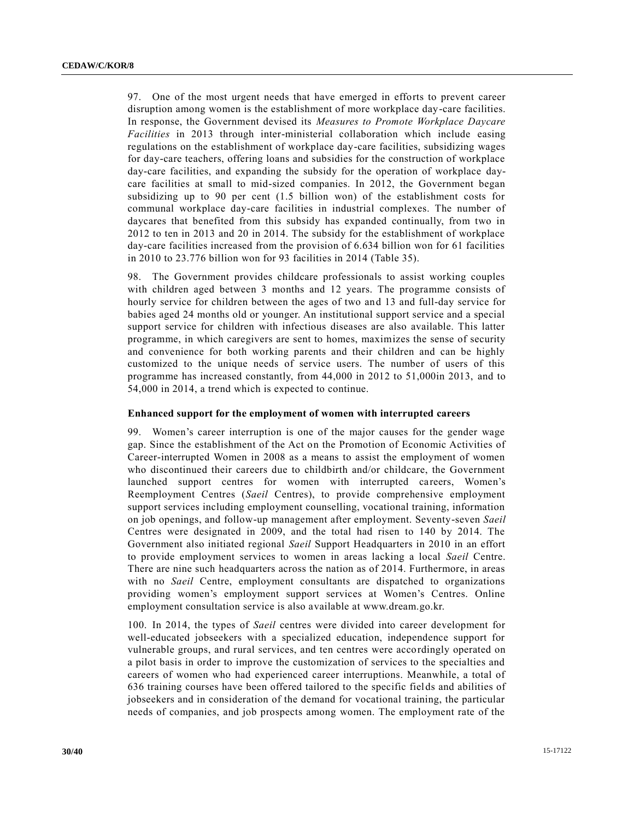97. One of the most urgent needs that have emerged in efforts to prevent career disruption among women is the establishment of more workplace day-care facilities. In response, the Government devised its *Measures to Promote Workplace Daycare Facilities* in 2013 through inter-ministerial collaboration which include easing regulations on the establishment of workplace day-care facilities, subsidizing wages for day-care teachers, offering loans and subsidies for the construction of workplace day-care facilities, and expanding the subsidy for the operation of workplace daycare facilities at small to mid-sized companies. In 2012, the Government began subsidizing up to 90 per cent (1.5 billion won) of the establishment costs for communal workplace day-care facilities in industrial complexes. The number of daycares that benefited from this subsidy has expanded continually, from two in 2012 to ten in 2013 and 20 in 2014. The subsidy for the establishment of workplace day-care facilities increased from the provision of 6.634 billion won for 61 facilities in 2010 to 23.776 billion won for 93 facilities in 2014 (Table 35).

98. The Government provides childcare professionals to assist working couples with children aged between 3 months and 12 years. The programme consists of hourly service for children between the ages of two and 13 and full-day service for babies aged 24 months old or younger. An institutional support service and a special support service for children with infectious diseases are also available. This latter programme, in which caregivers are sent to homes, maximizes the sense of security and convenience for both working parents and their children and can be highly customized to the unique needs of service users. The number of users of this programme has increased constantly, from 44,000 in 2012 to 51,000in 2013, and to 54,000 in 2014, a trend which is expected to continue.

## **Enhanced support for the employment of women with interrupted careers**

99. Women's career interruption is one of the major causes for the gender wage gap. Since the establishment of the Act on the Promotion of Economic Activities of Career-interrupted Women in 2008 as a means to assist the employment of women who discontinued their careers due to childbirth and/or childcare, the Government launched support centres for women with interrupted careers, Women's Reemployment Centres (*Saeil* Centres), to provide comprehensive employment support services including employment counselling, vocational training, information on job openings, and follow-up management after employment. Seventy-seven *Saeil* Centres were designated in 2009, and the total had risen to 140 by 2014. The Government also initiated regional *Saeil* Support Headquarters in 2010 in an effort to provide employment services to women in areas lacking a local *Saeil* Centre. There are nine such headquarters across the nation as of 2014. Furthermore, in areas with no *Saeil* Centre, employment consultants are dispatched to organizations providing women's employment support services at Women's Centres. Online employment consultation service is also available at www.dream.go.kr.

100. In 2014, the types of *Saeil* centres were divided into career development for well-educated jobseekers with a specialized education, independence support for vulnerable groups, and rural services, and ten centres were accordingly operated on a pilot basis in order to improve the customization of services to the specialties and careers of women who had experienced career interruptions. Meanwhile, a total of 636 training courses have been offered tailored to the specific fields and abilities of jobseekers and in consideration of the demand for vocational training, the particular needs of companies, and job prospects among women. The employment rate of the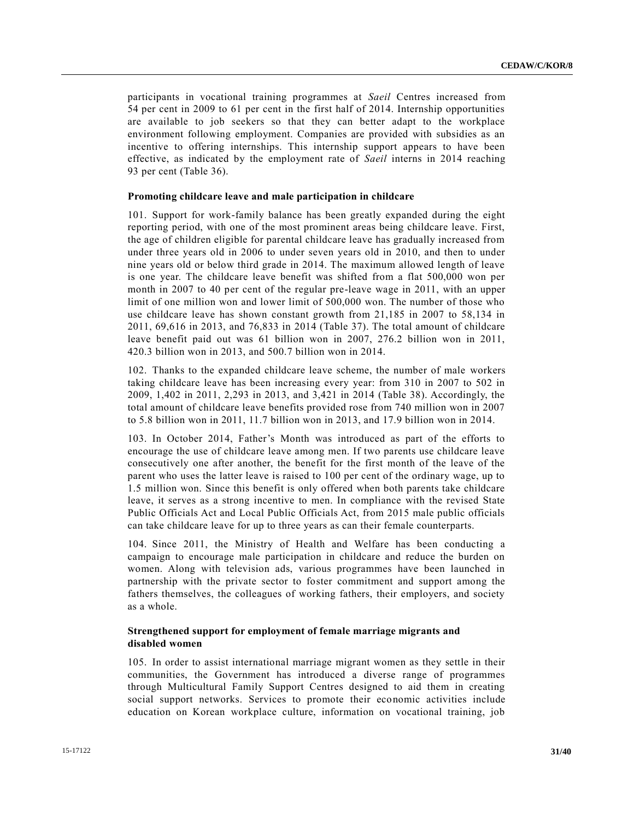participants in vocational training programmes at *Saeil* Centres increased from 54 per cent in 2009 to 61 per cent in the first half of 2014. Internship opportunities are available to job seekers so that they can better adapt to the workplace environment following employment. Companies are provided with subsidies as an incentive to offering internships. This internship support appears to have been effective, as indicated by the employment rate of *Saeil* interns in 2014 reaching 93 per cent (Table 36).

#### **Promoting childcare leave and male participation in childcare**

101. Support for work-family balance has been greatly expanded during the eight reporting period, with one of the most prominent areas being childcare leave. First, the age of children eligible for parental childcare leave has gradually increased from under three years old in 2006 to under seven years old in 2010, and then to under nine years old or below third grade in 2014. The maximum allowed length of leave is one year. The childcare leave benefit was shifted from a flat 500,000 won per month in 2007 to 40 per cent of the regular pre-leave wage in 2011, with an upper limit of one million won and lower limit of 500,000 won. The number of those who use childcare leave has shown constant growth from 21,185 in 2007 to 58,134 in 2011, 69,616 in 2013, and 76,833 in 2014 (Table 37). The total amount of childcare leave benefit paid out was 61 billion won in 2007, 276.2 billion won in 2011, 420.3 billion won in 2013, and 500.7 billion won in 2014.

102. Thanks to the expanded childcare leave scheme, the number of male workers taking childcare leave has been increasing every year: from 310 in 2007 to 502 in 2009, 1,402 in 2011, 2,293 in 2013, and 3,421 in 2014 (Table 38). Accordingly, the total amount of childcare leave benefits provided rose from 740 million won in 2007 to 5.8 billion won in 2011, 11.7 billion won in 2013, and 17.9 billion won in 2014.

103. In October 2014, Father's Month was introduced as part of the efforts to encourage the use of childcare leave among men. If two parents use childcare leave consecutively one after another, the benefit for the first month of the leave of the parent who uses the latter leave is raised to 100 per cent of the ordinary wage, up to 1.5 million won. Since this benefit is only offered when both parents take childcare leave, it serves as a strong incentive to men. In compliance with the revised State Public Officials Act and Local Public Officials Act, from 2015 male public officials can take childcare leave for up to three years as can their female counterparts.

104. Since 2011, the Ministry of Health and Welfare has been conducting a campaign to encourage male participation in childcare and reduce the burden on women. Along with television ads, various programmes have been launched in partnership with the private sector to foster commitment and support among the fathers themselves, the colleagues of working fathers, their employers, and society as a whole.

## **Strengthened support for employment of female marriage migrants and disabled women**

105. In order to assist international marriage migrant women as they settle in their communities, the Government has introduced a diverse range of programmes through Multicultural Family Support Centres designed to aid them in creating social support networks. Services to promote their economic activities include education on Korean workplace culture, information on vocational training, job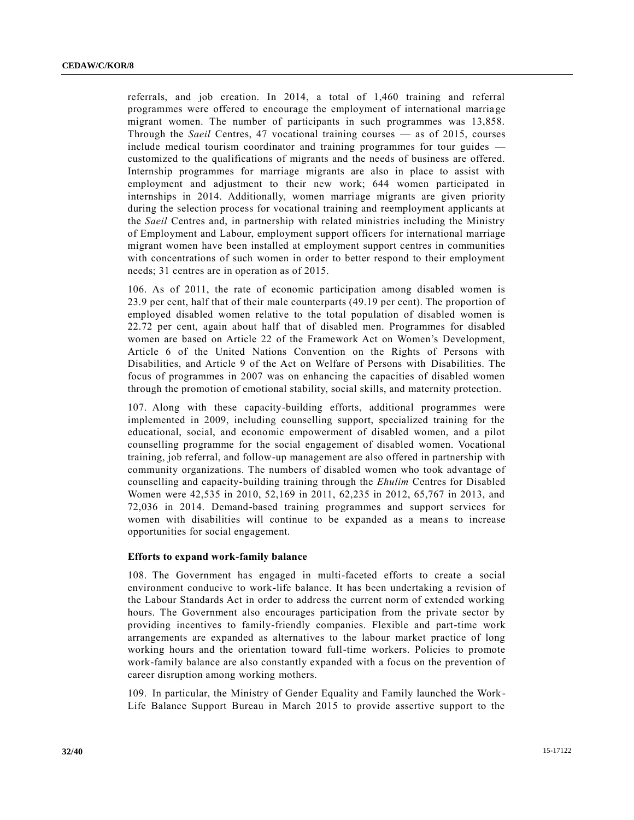referrals, and job creation. In 2014, a total of 1,460 training and referral programmes were offered to encourage the employment of international marria ge migrant women. The number of participants in such programmes was 13,858. Through the *Saeil* Centres, 47 vocational training courses — as of 2015, courses include medical tourism coordinator and training programmes for tour guides customized to the qualifications of migrants and the needs of business are offered. Internship programmes for marriage migrants are also in place to assist with employment and adjustment to their new work; 644 women participated in internships in 2014. Additionally, women marriage migrants are given priority during the selection process for vocational training and reemployment applicants at the *Saeil* Centres and, in partnership with related ministries including the Ministry of Employment and Labour, employment support officers for international marriage migrant women have been installed at employment support centres in communities with concentrations of such women in order to better respond to their employment needs; 31 centres are in operation as of 2015.

106. As of 2011, the rate of economic participation among disabled women is 23.9 per cent, half that of their male counterparts (49.19 per cent). The proportion of employed disabled women relative to the total population of disabled women is 22.72 per cent, again about half that of disabled men. Programmes for disabled women are based on Article 22 of the Framework Act on Women's Development, Article 6 of the United Nations Convention on the Rights of Persons with Disabilities, and Article 9 of the Act on Welfare of Persons with Disabilities. The focus of programmes in 2007 was on enhancing the capacities of disabled women through the promotion of emotional stability, social skills, and maternity protection.

107. Along with these capacity-building efforts, additional programmes were implemented in 2009, including counselling support, specialized training for the educational, social, and economic empowerment of disabled women, and a pilot counselling programme for the social engagement of disabled women. Vocational training, job referral, and follow-up management are also offered in partnership with community organizations. The numbers of disabled women who took advantage of counselling and capacity-building training through the *Ehulim* Centres for Disabled Women were 42,535 in 2010, 52,169 in 2011, 62,235 in 2012, 65,767 in 2013, and 72,036 in 2014. Demand-based training programmes and support services for women with disabilities will continue to be expanded as a means to increase opportunities for social engagement.

#### **Efforts to expand work-family balance**

108. The Government has engaged in multi-faceted efforts to create a social environment conducive to work-life balance. It has been undertaking a revision of the Labour Standards Act in order to address the current norm of extended working hours. The Government also encourages participation from the private sector by providing incentives to family-friendly companies. Flexible and part-time work arrangements are expanded as alternatives to the labour market practice of long working hours and the orientation toward full-time workers. Policies to promote work-family balance are also constantly expanded with a focus on the prevention of career disruption among working mothers.

109. In particular, the Ministry of Gender Equality and Family launched the Work-Life Balance Support Bureau in March 2015 to provide assertive support to the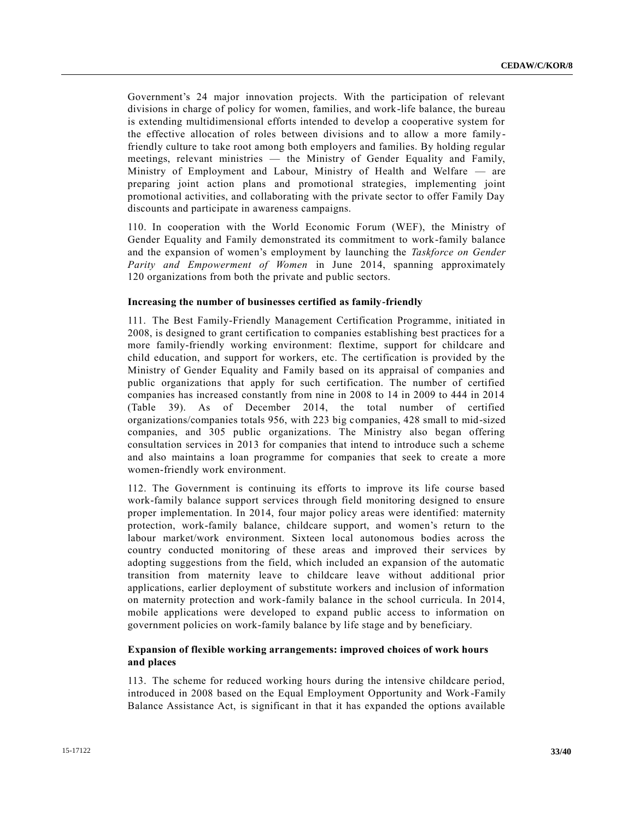Government's 24 major innovation projects. With the participation of relevant divisions in charge of policy for women, families, and work-life balance, the bureau is extending multidimensional efforts intended to develop a cooperative system for the effective allocation of roles between divisions and to allow a more familyfriendly culture to take root among both employers and families. By holding regular meetings, relevant ministries — the Ministry of Gender Equality and Family, Ministry of Employment and Labour, Ministry of Health and Welfare — are preparing joint action plans and promotional strategies, implementing joint promotional activities, and collaborating with the private sector to offer Family Day discounts and participate in awareness campaigns.

110. In cooperation with the World Economic Forum (WEF), the Ministry of Gender Equality and Family demonstrated its commitment to work-family balance and the expansion of women's employment by launching the *Taskforce on Gender Parity and Empowerment of Women* in June 2014, spanning approximately 120 organizations from both the private and public sectors.

## **Increasing the number of businesses certified as family-friendly**

111. The Best Family-Friendly Management Certification Programme, initiated in 2008, is designed to grant certification to companies establishing best practices for a more family-friendly working environment: flextime, support for childcare and child education, and support for workers, etc. The certification is provided by the Ministry of Gender Equality and Family based on its appraisal of companies and public organizations that apply for such certification. The number of certified companies has increased constantly from nine in 2008 to 14 in 2009 to 444 in 2014 (Table 39). As of December 2014, the total number of certified organizations/companies totals 956, with 223 big companies, 428 small to mid-sized companies, and 305 public organizations. The Ministry also began offering consultation services in 2013 for companies that intend to introduce such a scheme and also maintains a loan programme for companies that seek to create a more women-friendly work environment.

112. The Government is continuing its efforts to improve its life course based work-family balance support services through field monitoring designed to ensure proper implementation. In 2014, four major policy areas were identified: maternity protection, work-family balance, childcare support, and women's return to the labour market/work environment. Sixteen local autonomous bodies across the country conducted monitoring of these areas and improved their services by adopting suggestions from the field, which included an expansion of the automatic transition from maternity leave to childcare leave without additional prior applications, earlier deployment of substitute workers and inclusion of information on maternity protection and work-family balance in the school curricula. In 2014, mobile applications were developed to expand public access to information on government policies on work-family balance by life stage and by beneficiary.

## **Expansion of flexible working arrangements: improved choices of work hours and places**

113. The scheme for reduced working hours during the intensive childcare period, introduced in 2008 based on the Equal Employment Opportunity and Work-Family Balance Assistance Act, is significant in that it has expanded the options available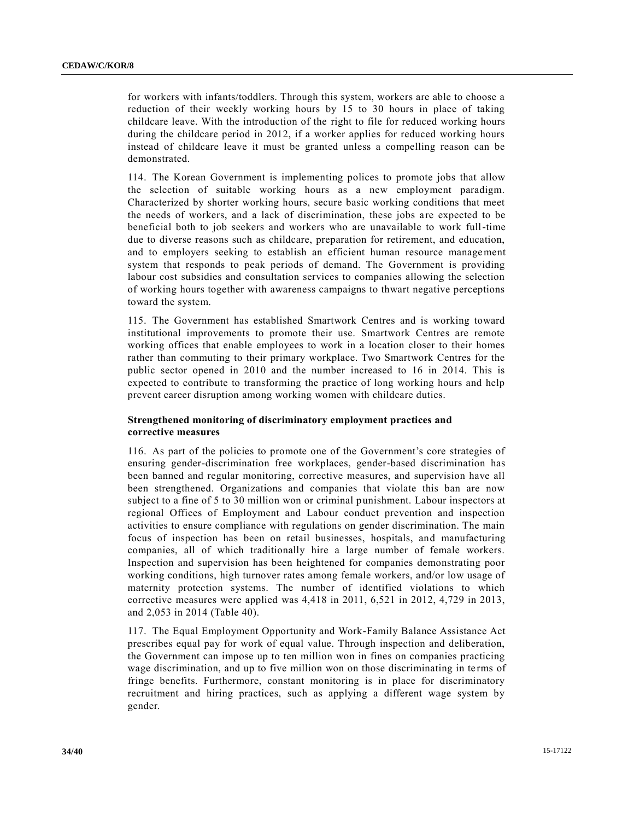for workers with infants/toddlers. Through this system, workers are able to choose a reduction of their weekly working hours by 15 to 30 hours in place of taking childcare leave. With the introduction of the right to file for reduced working hours during the childcare period in 2012, if a worker applies for reduced working hours instead of childcare leave it must be granted unless a compelling reason can be demonstrated.

114. The Korean Government is implementing polices to promote jobs that allow the selection of suitable working hours as a new employment paradigm. Characterized by shorter working hours, secure basic working conditions that meet the needs of workers, and a lack of discrimination, these jobs are expected to be beneficial both to job seekers and workers who are unavailable to work full-time due to diverse reasons such as childcare, preparation for retirement, and education, and to employers seeking to establish an efficient human resource management system that responds to peak periods of demand. The Government is providing labour cost subsidies and consultation services to companies allowing the selection of working hours together with awareness campaigns to thwart negative perceptions toward the system.

115. The Government has established Smartwork Centres and is working toward institutional improvements to promote their use. Smartwork Centres are remote working offices that enable employees to work in a location closer to their homes rather than commuting to their primary workplace. Two Smartwork Centres for the public sector opened in 2010 and the number increased to 16 in 2014. This is expected to contribute to transforming the practice of long working hours and help prevent career disruption among working women with childcare duties.

## **Strengthened monitoring of discriminatory employment practices and corrective measures**

116. As part of the policies to promote one of the Government's core strategies of ensuring gender-discrimination free workplaces, gender-based discrimination has been banned and regular monitoring, corrective measures, and supervision have all been strengthened. Organizations and companies that violate this ban are now subject to a fine of 5 to 30 million won or criminal punishment. Labour inspectors at regional Offices of Employment and Labour conduct prevention and inspection activities to ensure compliance with regulations on gender discrimination. The main focus of inspection has been on retail businesses, hospitals, and manufacturing companies, all of which traditionally hire a large number of female workers. Inspection and supervision has been heightened for companies demonstrating poor working conditions, high turnover rates among female workers, and/or low usage of maternity protection systems. The number of identified violations to which corrective measures were applied was 4,418 in 2011, 6,521 in 2012, 4,729 in 2013, and 2,053 in 2014 (Table 40).

117. The Equal Employment Opportunity and Work-Family Balance Assistance Act prescribes equal pay for work of equal value. Through inspection and deliberation, the Government can impose up to ten million won in fines on companies practicing wage discrimination, and up to five million won on those discriminating in te rms of fringe benefits. Furthermore, constant monitoring is in place for discriminatory recruitment and hiring practices, such as applying a different wage system by gender.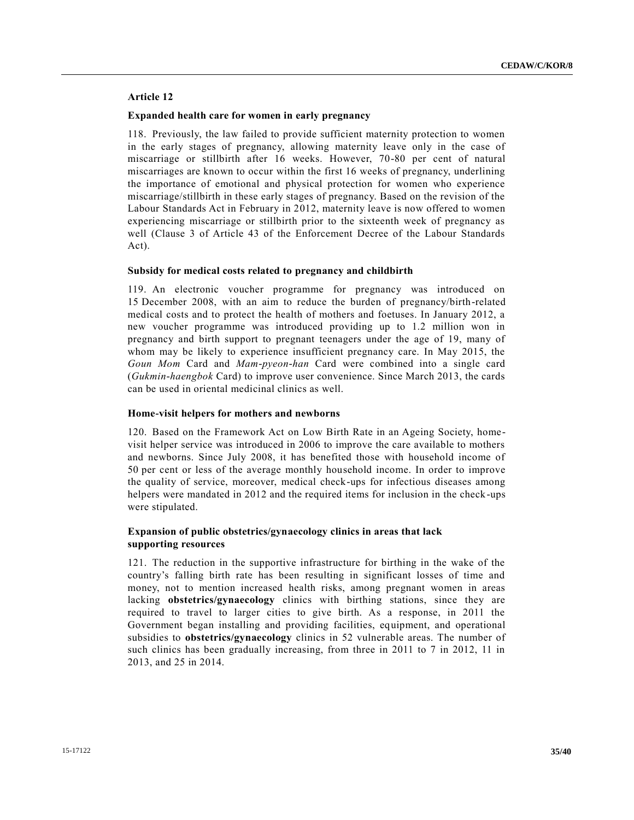## **Article 12**

#### **Expanded health care for women in early pregnancy**

118. Previously, the law failed to provide sufficient maternity protection to women in the early stages of pregnancy, allowing maternity leave only in the case of miscarriage or stillbirth after 16 weeks. However, 70-80 per cent of natural miscarriages are known to occur within the first 16 weeks of pregnancy, underlining the importance of emotional and physical protection for women who experience miscarriage/stillbirth in these early stages of pregnancy. Based on the revision of the Labour Standards Act in February in 2012, maternity leave is now offered to women experiencing miscarriage or stillbirth prior to the sixteenth week of pregnancy as well (Clause 3 of Article 43 of the Enforcement Decree of the Labour Standards Act).

#### **Subsidy for medical costs related to pregnancy and childbirth**

119. An electronic voucher programme for pregnancy was introduced on 15 December 2008, with an aim to reduce the burden of pregnancy/birth-related medical costs and to protect the health of mothers and foetuses. In January 2012, a new voucher programme was introduced providing up to 1.2 million won in pregnancy and birth support to pregnant teenagers under the age of 19, many of whom may be likely to experience insufficient pregnancy care. In May 2015, the *Goun Mom* Card and *Mam-pyeon-han* Card were combined into a single card (*Gukmin-haengbok* Card) to improve user convenience. Since March 2013, the cards can be used in oriental medicinal clinics as well.

#### **Home-visit helpers for mothers and newborns**

120. Based on the Framework Act on Low Birth Rate in an Ageing Society, homevisit helper service was introduced in 2006 to improve the care available to mothers and newborns. Since July 2008, it has benefited those with household income of 50 per cent or less of the average monthly household income. In order to improve the quality of service, moreover, medical check-ups for infectious diseases among helpers were mandated in 2012 and the required items for inclusion in the check -ups were stipulated.

## **Expansion of public obstetrics/gynaecology clinics in areas that lack supporting resources**

121. The reduction in the supportive infrastructure for birthing in the wake of the country's falling birth rate has been resulting in significant losses of time and money, not to mention increased health risks, among pregnant women in areas lacking **obstetrics/gynaecology** clinics with birthing stations, since they are required to travel to larger cities to give birth. As a response, in 2011 the Government began installing and providing facilities, equipment, and operational subsidies to **obstetrics/gynaecology** clinics in 52 vulnerable areas. The number of such clinics has been gradually increasing, from three in 2011 to 7 in 2012, 11 in 2013, and 25 in 2014.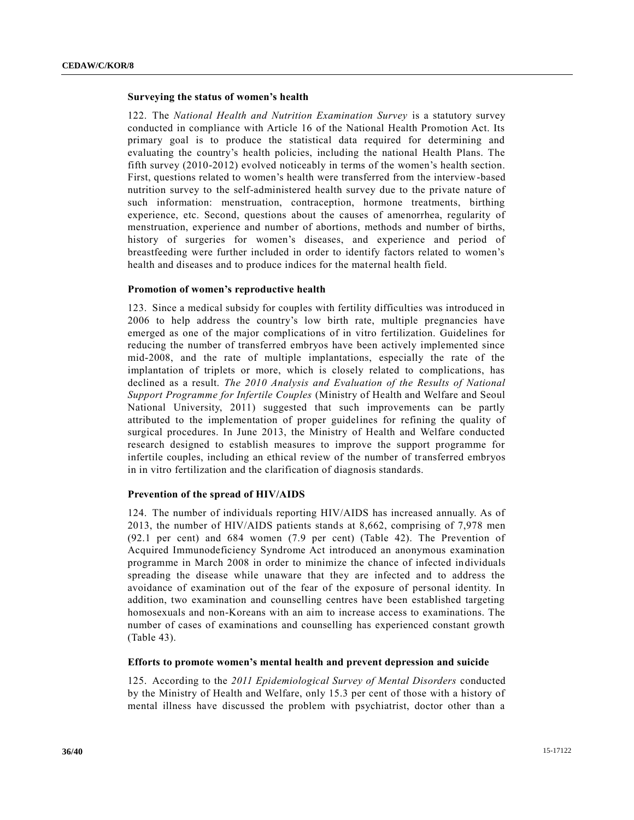#### **Surveying the status of women's health**

122. The *National Health and Nutrition Examination Survey* is a statutory survey conducted in compliance with Article 16 of the National Health Promotion Act. Its primary goal is to produce the statistical data required for determining and evaluating the country's health policies, including the national Health Plans. The fifth survey (2010-2012) evolved noticeably in terms of the women's health section. First, questions related to women's health were transferred from the interview-based nutrition survey to the self-administered health survey due to the private nature of such information: menstruation, contraception, hormone treatments, birthing experience, etc. Second, questions about the causes of amenorrhea, regularity of menstruation, experience and number of abortions, methods and number of births, history of surgeries for women's diseases, and experience and period of breastfeeding were further included in order to identify factors related to women's health and diseases and to produce indices for the maternal health field.

#### **Promotion of women's reproductive health**

123. Since a medical subsidy for couples with fertility difficulties was introduced in 2006 to help address the country's low birth rate, multiple pregnancies have emerged as one of the major complications of in vitro fertilization. Guidelines for reducing the number of transferred embryos have been actively implemented since mid-2008, and the rate of multiple implantations, especially the rate of the implantation of triplets or more, which is closely related to complications, has declined as a result. *The 2010 Analysis and Evaluation of the Results of National Support Programme for Infertile Couples* (Ministry of Health and Welfare and Seoul National University, 2011) suggested that such improvements can be partly attributed to the implementation of proper guidelines for refining the quality of surgical procedures. In June 2013, the Ministry of Health and Welfare conducted research designed to establish measures to improve the support programme for infertile couples, including an ethical review of the number of transferred embryos in in vitro fertilization and the clarification of diagnosis standards.

#### **Prevention of the spread of HIV/AIDS**

124. The number of individuals reporting HIV/AIDS has increased annually. As of 2013, the number of HIV/AIDS patients stands at 8,662, comprising of 7,978 men (92.1 per cent) and 684 women (7.9 per cent) (Table 42). The Prevention of Acquired Immunodeficiency Syndrome Act introduced an anonymous examination programme in March 2008 in order to minimize the chance of infected individuals spreading the disease while unaware that they are infected and to address the avoidance of examination out of the fear of the exposure of personal identity. In addition, two examination and counselling centres have been established targeting homosexuals and non-Koreans with an aim to increase access to examinations. The number of cases of examinations and counselling has experienced constant growth (Table 43).

## **Efforts to promote women's mental health and prevent depression and suicide**

125. According to the *2011 Epidemiological Survey of Mental Disorders* conducted by the Ministry of Health and Welfare, only 15.3 per cent of those with a history of mental illness have discussed the problem with psychiatrist, doctor other than a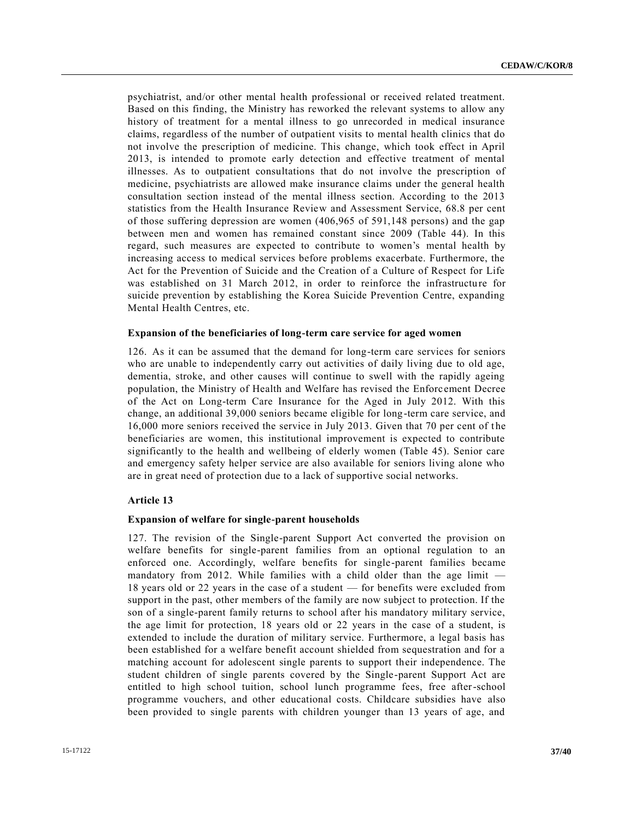psychiatrist, and/or other mental health professional or received related treatment. Based on this finding, the Ministry has reworked the relevant systems to allow any history of treatment for a mental illness to go unrecorded in medical insurance claims, regardless of the number of outpatient visits to mental health clinics that do not involve the prescription of medicine. This change, which took effect in April 2013, is intended to promote early detection and effective treatment of mental illnesses. As to outpatient consultations that do not involve the prescription of medicine, psychiatrists are allowed make insurance claims under the general health consultation section instead of the mental illness section. According to the 2013 statistics from the Health Insurance Review and Assessment Service, 68.8 per cent of those suffering depression are women (406,965 of 591,148 persons) and the gap between men and women has remained constant since 2009 (Table 44). In this regard, such measures are expected to contribute to women's mental health by increasing access to medical services before problems exacerbate. Furthermore, the Act for the Prevention of Suicide and the Creation of a Culture of Respect for Life was established on 31 March 2012, in order to reinforce the infrastructure for suicide prevention by establishing the Korea Suicide Prevention Centre, expanding Mental Health Centres, etc.

#### **Expansion of the beneficiaries of long-term care service for aged women**

126. As it can be assumed that the demand for long-term care services for seniors who are unable to independently carry out activities of daily living due to old age, dementia, stroke, and other causes will continue to swell with the rapidly ageing population, the Ministry of Health and Welfare has revised the Enforc ement Decree of the Act on Long-term Care Insurance for the Aged in July 2012. With this change, an additional 39,000 seniors became eligible for long-term care service, and 16,000 more seniors received the service in July 2013. Given that 70 per cent of the beneficiaries are women, this institutional improvement is expected to contribute significantly to the health and wellbeing of elderly women (Table 45). Senior care and emergency safety helper service are also available for seniors living alone who are in great need of protection due to a lack of supportive social networks.

#### **Article 13**

#### **Expansion of welfare for single-parent households**

127. The revision of the Single-parent Support Act converted the provision on welfare benefits for single-parent families from an optional regulation to an enforced one. Accordingly, welfare benefits for single-parent families became mandatory from 2012. While families with a child older than the age limit — 18 years old or 22 years in the case of a student — for benefits were excluded from support in the past, other members of the family are now subject to protection. If the son of a single-parent family returns to school after his mandatory military service, the age limit for protection, 18 years old or 22 years in the case of a student, is extended to include the duration of military service. Furthermore, a legal basis has been established for a welfare benefit account shielded from sequestration and for a matching account for adolescent single parents to support their independence. The student children of single parents covered by the Single-parent Support Act are entitled to high school tuition, school lunch programme fees, free after-school programme vouchers, and other educational costs. Childcare subsidies have also been provided to single parents with children younger than 13 years of age, and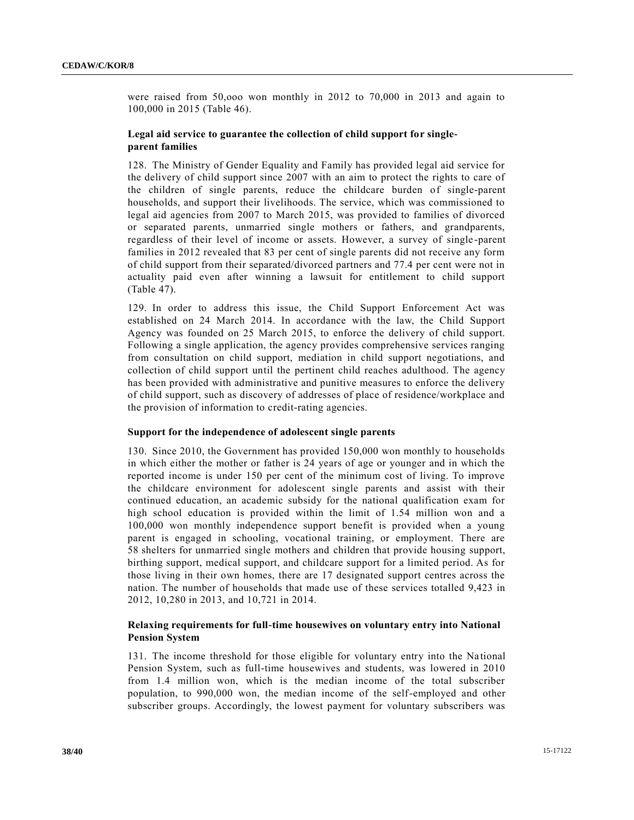were raised from 50,ooo won monthly in 2012 to 70,000 in 2013 and again to 100,000 in 2015 (Table 46).

## **Legal aid service to guarantee the collection of child support for singleparent families**

128. The Ministry of Gender Equality and Family has provided legal aid service for the delivery of child support since 2007 with an aim to protect the rights to care of the children of single parents, reduce the childcare burden of single-parent households, and support their livelihoods. The service, which was commissioned to legal aid agencies from 2007 to March 2015, was provided to families of divorced or separated parents, unmarried single mothers or fathers, and grandparents, regardless of their level of income or assets. However, a survey of single -parent families in 2012 revealed that 83 per cent of single parents did not receive any form of child support from their separated/divorced partners and 77.4 per cent were not in actuality paid even after winning a lawsuit for entitlement to child support (Table 47).

129. In order to address this issue, the Child Support Enforcement Act was established on 24 March 2014. In accordance with the law, the Child Support Agency was founded on 25 March 2015, to enforce the delivery of child support. Following a single application, the agency provides comprehensive services ranging from consultation on child support, mediation in child support negotiations, and collection of child support until the pertinent child reaches adulthood. The agency has been provided with administrative and punitive measures to enforce the delivery of child support, such as discovery of addresses of place of residence/workplace and the provision of information to credit-rating agencies.

## **Support for the independence of adolescent single parents**

130. Since 2010, the Government has provided 150,000 won monthly to households in which either the mother or father is 24 years of age or younger and in which the reported income is under 150 per cent of the minimum cost of living. To improve the childcare environment for adolescent single parents and assist with their continued education, an academic subsidy for the national qualification exam for high school education is provided within the limit of 1.54 million won and a 100,000 won monthly independence support benefit is provided when a young parent is engaged in schooling, vocational training, or employment. There are 58 shelters for unmarried single mothers and children that provide housing support, birthing support, medical support, and childcare support for a limited period. As for those living in their own homes, there are 17 designated support centres across the nation. The number of households that made use of these services totalled 9,423 in 2012, 10,280 in 2013, and 10,721 in 2014.

## **Relaxing requirements for full-time housewives on voluntary entry into National Pension System**

131. The income threshold for those eligible for voluntary entry into the National Pension System, such as full-time housewives and students, was lowered in 2010 from 1.4 million won, which is the median income of the total subscriber population, to 990,000 won, the median income of the self-employed and other subscriber groups. Accordingly, the lowest payment for voluntary subscribers was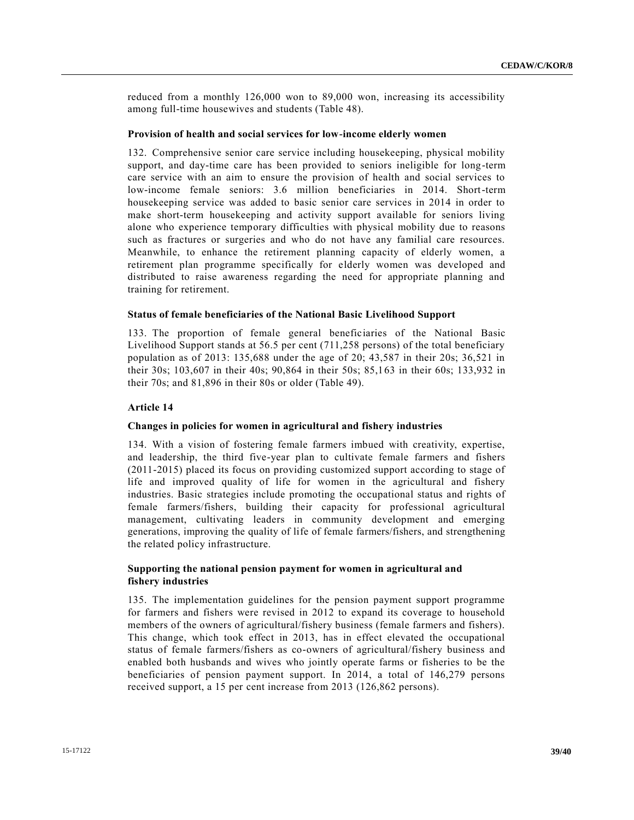reduced from a monthly 126,000 won to 89,000 won, increasing its accessibility among full-time housewives and students (Table 48).

#### **Provision of health and social services for low-income elderly women**

132. Comprehensive senior care service including housekeeping, physical mobility support, and day-time care has been provided to seniors ineligible for long-term care service with an aim to ensure the provision of health and social services to low-income female seniors: 3.6 million beneficiaries in 2014. Short-term housekeeping service was added to basic senior care services in 2014 in order to make short-term housekeeping and activity support available for seniors living alone who experience temporary difficulties with physical mobility due to reasons such as fractures or surgeries and who do not have any familial care resources. Meanwhile, to enhance the retirement planning capacity of elderly women, a retirement plan programme specifically for elderly women was developed and distributed to raise awareness regarding the need for appropriate planning and training for retirement.

#### **Status of female beneficiaries of the National Basic Livelihood Support**

133. The proportion of female general beneficiaries of the National Basic Livelihood Support stands at 56.5 per cent (711,258 persons) of the total beneficiary population as of 2013: 135,688 under the age of 20; 43,587 in their 20s; 36,521 in their 30s; 103,607 in their 40s; 90,864 in their 50s; 85,163 in their 60s; 133,932 in their 70s; and 81,896 in their 80s or older (Table 49).

#### **Article 14**

#### **Changes in policies for women in agricultural and fishery industries**

134. With a vision of fostering female farmers imbued with creativity, expertise, and leadership, the third five-year plan to cultivate female farmers and fishers (2011-2015) placed its focus on providing customized support according to stage of life and improved quality of life for women in the agricultural and fishery industries. Basic strategies include promoting the occupational status and rights of female farmers/fishers, building their capacity for professional agricultural management, cultivating leaders in community development and emerging generations, improving the quality of life of female farmers/fishers, and strengthening the related policy infrastructure.

## **Supporting the national pension payment for women in agricultural and fishery industries**

135. The implementation guidelines for the pension payment support programme for farmers and fishers were revised in 2012 to expand its coverage to household members of the owners of agricultural/fishery business (female farmers and fishers). This change, which took effect in 2013, has in effect elevated the occupational status of female farmers/fishers as co-owners of agricultural/fishery business and enabled both husbands and wives who jointly operate farms or fisheries to be the beneficiaries of pension payment support. In 2014, a total of 146,279 persons received support, a 15 per cent increase from 2013 (126,862 persons).